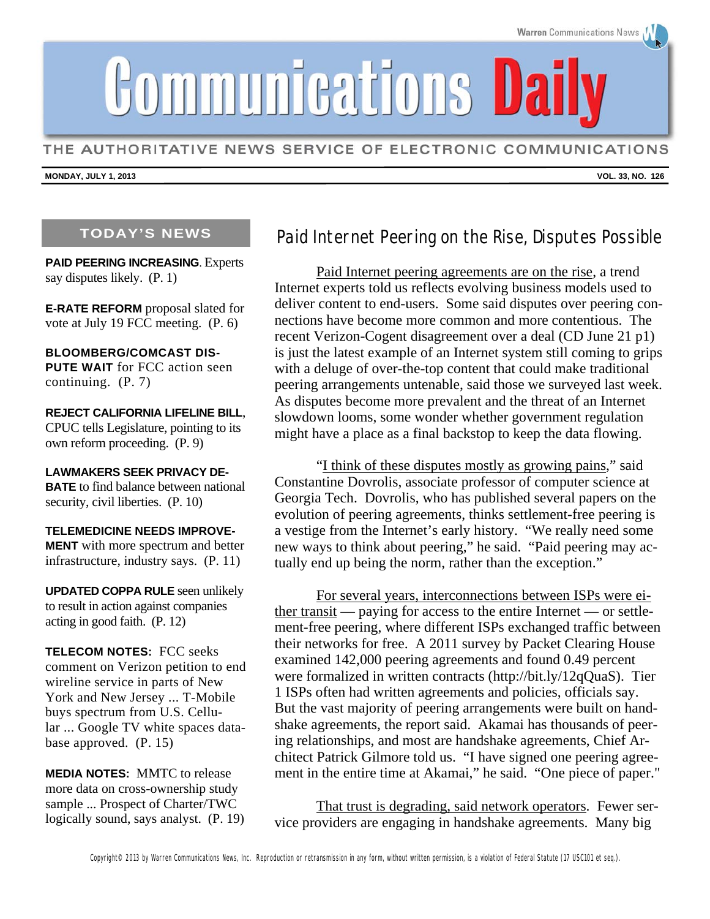Communications Dail

THE AUTHORITATIVE NEWS SERVICE OF ELECTRONIC COMMUNICATIONS

**MONDAY, JULY 1, 2013** 

### **TODAY'S NEWS**

**PAID PEERING INCREASING**. Experts say disputes likely. (P. 1)

**E-RATE REFORM** proposal slated for vote at July 19 FCC meeting. (P. 6)

**BLOOMBERG/COMCAST DIS-PUTE WAIT** for FCC action seen continuing. (P. 7)

**REJECT CALIFORNIA LIFELINE BILL**, CPUC tells Legislature, pointing to its own reform proceeding. (P. 9)

**LAWMAKERS SEEK PRIVACY DE-BATE** to find balance between national security, civil liberties. (P. 10)

**TELEMEDICINE NEEDS IMPROVE-MENT** with more spectrum and better infrastructure, industry says. (P. 11)

**UPDATED COPPA RULE** seen unlikely to result in action against companies acting in good faith. (P. 12)

**TELECOM NOTES:** FCC seeks comment on Verizon petition to end wireline service in parts of New York and New Jersey ... T-Mobile buys spectrum from U.S. Cellular ... Google TV white spaces database approved. (P. 15)

**MEDIA NOTES:** MMTC to release more data on cross-ownership study sample ... Prospect of Charter/TWC logically sound, says analyst. (P. 19)

## Paid Internet Peering on the Rise, Disputes Possible

Paid Internet peering agreements are on the rise, a trend Internet experts told us reflects evolving business models used to deliver content to end-users. Some said disputes over peering connections have become more common and more contentious. The recent Verizon-Cogent disagreement over a deal (CD June 21 p1) is just the latest example of an Internet system still coming to grips with a deluge of over-the-top content that could make traditional peering arrangements untenable, said those we surveyed last week. As disputes become more prevalent and the threat of an Internet slowdown looms, some wonder whether government regulation might have a place as a final backstop to keep the data flowing.

"I think of these disputes mostly as growing pains," said Constantine Dovrolis, associate professor of computer science at Georgia Tech. Dovrolis, who has published several papers on the evolution of peering agreements, thinks settlement-free peering is a vestige from the Internet's early history. "We really need some new ways to think about peering," he said. "Paid peering may actually end up being the norm, rather than the exception."

For several years, interconnections between ISPs were either transit — paying for access to the entire Internet — or settlement-free peering, where different ISPs exchanged traffic between their networks for free. A 2011 survey by Packet Clearing House examined 142,000 peering agreements and found 0.49 percent were formalized in written contracts (http://bit.ly/12qQuaS). Tier 1 ISPs often had written agreements and policies, officials say. But the vast majority of peering arrangements were built on handshake agreements, the report said. Akamai has thousands of peering relationships, and most are handshake agreements, Chief Architect Patrick Gilmore told us. "I have signed one peering agreement in the entire time at Akamai," he said. "One piece of paper."

That trust is degrading, said network operators. Fewer service providers are engaging in handshake agreements. Many big



**VOL. 33, NO. 126**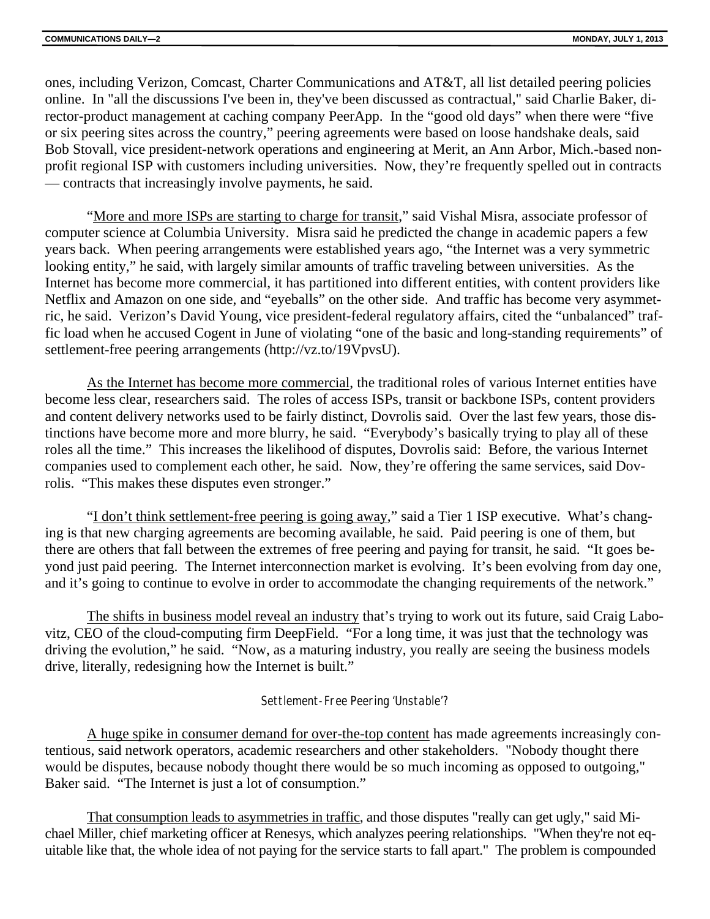ones, including Verizon, Comcast, Charter Communications and AT&T, all list detailed peering policies online. In "all the discussions I've been in, they've been discussed as contractual," said Charlie Baker, director-product management at caching company PeerApp. In the "good old days" when there were "five or six peering sites across the country," peering agreements were based on loose handshake deals, said Bob Stovall, vice president-network operations and engineering at Merit, an Ann Arbor, Mich.-based nonprofit regional ISP with customers including universities. Now, they're frequently spelled out in contracts — contracts that increasingly involve payments, he said.

"More and more ISPs are starting to charge for transit," said Vishal Misra, associate professor of computer science at Columbia University. Misra said he predicted the change in academic papers a few years back. When peering arrangements were established years ago, "the Internet was a very symmetric looking entity," he said, with largely similar amounts of traffic traveling between universities. As the Internet has become more commercial, it has partitioned into different entities, with content providers like Netflix and Amazon on one side, and "eyeballs" on the other side. And traffic has become very asymmetric, he said. Verizon's David Young, vice president-federal regulatory affairs, cited the "unbalanced" traffic load when he accused Cogent in June of violating "one of the basic and long-standing requirements" of settlement-free peering arrangements (http://vz.to/19VpvsU).

As the Internet has become more commercial, the traditional roles of various Internet entities have become less clear, researchers said. The roles of access ISPs, transit or backbone ISPs, content providers and content delivery networks used to be fairly distinct, Dovrolis said. Over the last few years, those distinctions have become more and more blurry, he said. "Everybody's basically trying to play all of these roles all the time." This increases the likelihood of disputes, Dovrolis said: Before, the various Internet companies used to complement each other, he said. Now, they're offering the same services, said Dovrolis. "This makes these disputes even stronger."

"I don't think settlement-free peering is going away," said a Tier 1 ISP executive. What's changing is that new charging agreements are becoming available, he said. Paid peering is one of them, but there are others that fall between the extremes of free peering and paying for transit, he said. "It goes beyond just paid peering. The Internet interconnection market is evolving. It's been evolving from day one, and it's going to continue to evolve in order to accommodate the changing requirements of the network."

The shifts in business model reveal an industry that's trying to work out its future, said Craig Labovitz, CEO of the cloud-computing firm DeepField. "For a long time, it was just that the technology was driving the evolution," he said. "Now, as a maturing industry, you really are seeing the business models drive, literally, redesigning how the Internet is built."

#### Settlement-Free Peering 'Unstable'?

A huge spike in consumer demand for over-the-top content has made agreements increasingly contentious, said network operators, academic researchers and other stakeholders. "Nobody thought there would be disputes, because nobody thought there would be so much incoming as opposed to outgoing," Baker said. "The Internet is just a lot of consumption."

That consumption leads to asymmetries in traffic, and those disputes "really can get ugly," said Michael Miller, chief marketing officer at Renesys, which analyzes peering relationships. "When they're not equitable like that, the whole idea of not paying for the service starts to fall apart." The problem is compounded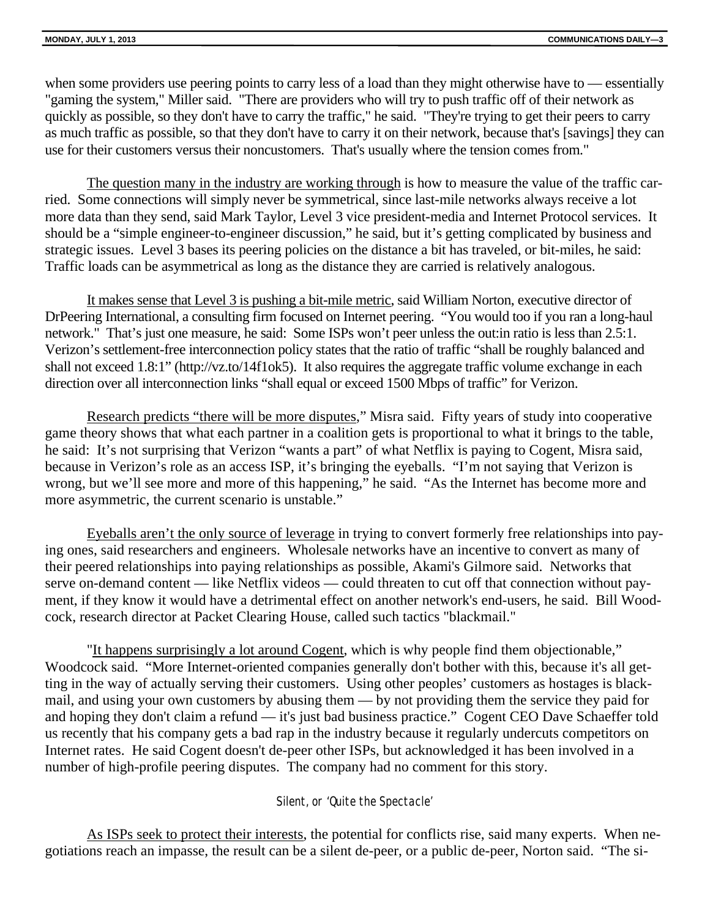when some providers use peering points to carry less of a load than they might otherwise have to — essentially "gaming the system," Miller said. "There are providers who will try to push traffic off of their network as quickly as possible, so they don't have to carry the traffic," he said. "They're trying to get their peers to carry as much traffic as possible, so that they don't have to carry it on their network, because that's [savings] they can use for their customers versus their noncustomers. That's usually where the tension comes from."

The question many in the industry are working through is how to measure the value of the traffic carried. Some connections will simply never be symmetrical, since last-mile networks always receive a lot more data than they send, said Mark Taylor, Level 3 vice president-media and Internet Protocol services. It should be a "simple engineer-to-engineer discussion," he said, but it's getting complicated by business and strategic issues. Level 3 bases its peering policies on the distance a bit has traveled, or bit-miles, he said: Traffic loads can be asymmetrical as long as the distance they are carried is relatively analogous.

It makes sense that Level 3 is pushing a bit-mile metric, said William Norton, executive director of DrPeering International, a consulting firm focused on Internet peering. "You would too if you ran a long-haul network." That's just one measure, he said: Some ISPs won't peer unless the out: in ratio is less than 2.5:1. Verizon's settlement-free interconnection policy states that the ratio of traffic "shall be roughly balanced and shall not exceed 1.8:1" (http://vz.to/14f1ok5). It also requires the aggregate traffic volume exchange in each direction over all interconnection links "shall equal or exceed 1500 Mbps of traffic" for Verizon.

Research predicts "there will be more disputes," Misra said. Fifty years of study into cooperative game theory shows that what each partner in a coalition gets is proportional to what it brings to the table, he said: It's not surprising that Verizon "wants a part" of what Netflix is paying to Cogent, Misra said, because in Verizon's role as an access ISP, it's bringing the eyeballs. "I'm not saying that Verizon is wrong, but we'll see more and more of this happening," he said. "As the Internet has become more and more asymmetric, the current scenario is unstable."

Eyeballs aren't the only source of leverage in trying to convert formerly free relationships into paying ones, said researchers and engineers. Wholesale networks have an incentive to convert as many of their peered relationships into paying relationships as possible, Akami's Gilmore said. Networks that serve on-demand content — like Netflix videos — could threaten to cut off that connection without payment, if they know it would have a detrimental effect on another network's end-users, he said. Bill Woodcock, research director at Packet Clearing House, called such tactics "blackmail."

"It happens surprisingly a lot around Cogent, which is why people find them objectionable," Woodcock said. "More Internet-oriented companies generally don't bother with this, because it's all getting in the way of actually serving their customers. Using other peoples' customers as hostages is blackmail, and using your own customers by abusing them — by not providing them the service they paid for and hoping they don't claim a refund — it's just bad business practice." Cogent CEO Dave Schaeffer told us recently that his company gets a bad rap in the industry because it regularly undercuts competitors on Internet rates. He said Cogent doesn't de-peer other ISPs, but acknowledged it has been involved in a number of high-profile peering disputes. The company had no comment for this story.

### Silent, or 'Quite the Spectacle'

As ISPs seek to protect their interests, the potential for conflicts rise, said many experts. When negotiations reach an impasse, the result can be a silent de-peer, or a public de-peer, Norton said. "The si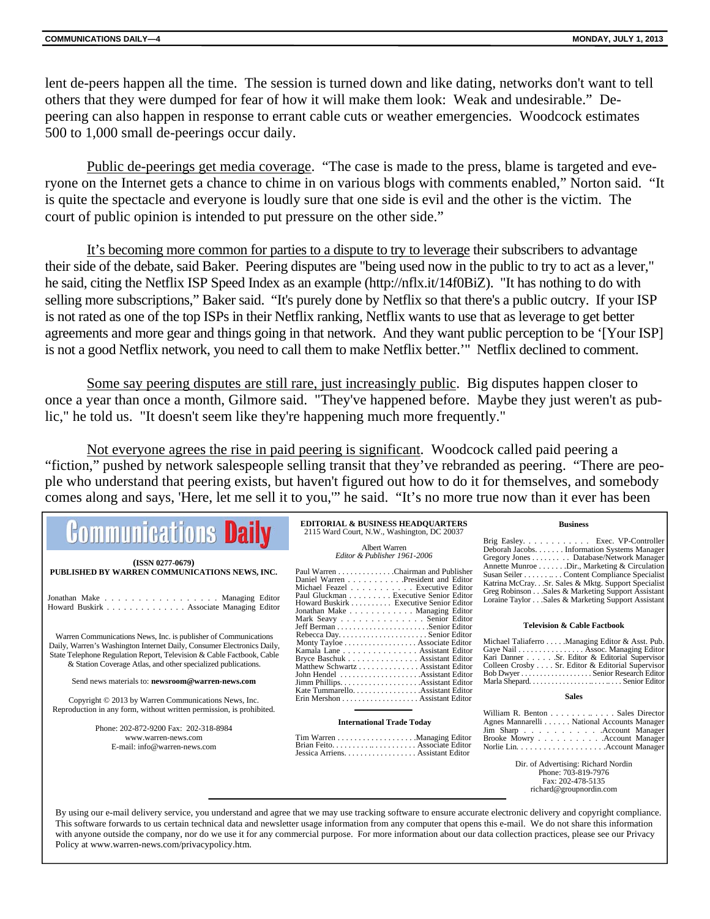lent de-peers happen all the time. The session is turned down and like dating, networks don't want to tell others that they were dumped for fear of how it will make them look: Weak and undesirable." Depeering can also happen in response to errant cable cuts or weather emergencies. Woodcock estimates 500 to 1,000 small de-peerings occur daily.

Public de-peerings get media coverage. "The case is made to the press, blame is targeted and everyone on the Internet gets a chance to chime in on various blogs with comments enabled," Norton said. "It is quite the spectacle and everyone is loudly sure that one side is evil and the other is the victim. The court of public opinion is intended to put pressure on the other side."

It's becoming more common for parties to a dispute to try to leverage their subscribers to advantage their side of the debate, said Baker. Peering disputes are "being used now in the public to try to act as a lever," he said, citing the Netflix ISP Speed Index as an example (http://nflx.it/14f0BiZ). "It has nothing to do with selling more subscriptions," Baker said. "It's purely done by Netflix so that there's a public outcry. If your ISP is not rated as one of the top ISPs in their Netflix ranking, Netflix wants to use that as leverage to get better agreements and more gear and things going in that network. And they want public perception to be '[Your ISP] is not a good Netflix network, you need to call them to make Netflix better.'" Netflix declined to comment.

Some say peering disputes are still rare, just increasingly public. Big disputes happen closer to once a year than once a month, Gilmore said. "They've happened before. Maybe they just weren't as public," he told us. "It doesn't seem like they're happening much more frequently."

Not everyone agrees the rise in paid peering is significant. Woodcock called paid peering a "fiction," pushed by network salespeople selling transit that they've rebranded as peering. "There are people who understand that peering exists, but haven't figured out how to do it for themselves, and somebody comes along and says, 'Here, let me sell it to you,'" he said. "It's no more true now than it ever has been

| <b>Communications Daily</b>                                                                                                                                       | <b>EDITORIAL &amp; BUSINESS HEADQUARTERS</b><br>2115 Ward Court, N.W., Washington, DC 20037                                                          | <b>Business</b>                                                                                         |
|-------------------------------------------------------------------------------------------------------------------------------------------------------------------|------------------------------------------------------------------------------------------------------------------------------------------------------|---------------------------------------------------------------------------------------------------------|
|                                                                                                                                                                   | Albert Warren                                                                                                                                        | Brig Easley. Exec. VP-Controller<br>Deborah Jacobs. Information Systems Manager                         |
| $(ISSN 0277-0679)$                                                                                                                                                | Editor & Publisher 1961-2006                                                                                                                         | Gregory Jones Database/Network Manager<br>Annette Munroe Dir., Marketing & Circulation                  |
| PUBLISHED BY WARREN COMMUNICATIONS NEWS, INC.                                                                                                                     | Paul Warren Chairman and Publisher<br>Daniel Warren President and Editor                                                                             | Susan Seiler Content Compliance Specialist<br>Katrina McCraySr. Sales & Mktg. Support Specialist        |
| Jonathan Make Managing Editor<br>Howard Buskirk Associate Managing Editor                                                                                         | Michael Feazel Executive Editor<br>Paul Gluckman Executive Senior Editor<br>Howard Buskirk  Executive Senior Editor<br>Jonathan Make Managing Editor | Greg Robinson Sales & Marketing Support Assistant<br>Loraine Taylor Sales & Marketing Support Assistant |
|                                                                                                                                                                   | Mark Seavy Senior Editor                                                                                                                             | <b>Television &amp; Cable Factbook</b>                                                                  |
| Warren Communications News, Inc. is publisher of Communications<br>Daily, Warren's Washington Internet Daily, Consumer Electronics Daily,                         | Monty Tayloe Associate Editor<br>Kamala Lane Assistant Editor                                                                                        | Michael Taliaferro Managing Editor & Asst. Pub.<br>Gaye Nail Assoc. Managing Editor                     |
| State Telephone Regulation Report, Television & Cable Factbook, Cable<br>& Station Coverage Atlas, and other specialized publications.                            | Bryce Baschuk Assistant Editor<br>Matthew Schwartz Assistant Editor                                                                                  | Kari Danner Sr. Editor & Editorial Supervisor<br>Colleen Crosby Sr. Editor & Editorial Supervisor       |
| Send news materials to: newsroom@warren-news.com                                                                                                                  |                                                                                                                                                      |                                                                                                         |
| Copyright © 2013 by Warren Communications News, Inc.                                                                                                              | Erin Mershon Assistant Editor                                                                                                                        | <b>Sales</b>                                                                                            |
| Reproduction in any form, without written permission, is prohibited.                                                                                              |                                                                                                                                                      | William R. Benton Sales Director                                                                        |
| Phone: 202-872-9200 Fax: 202-318-8984                                                                                                                             | <b>International Trade Today</b>                                                                                                                     | Agnes Mannarelli National Accounts Manager<br>Jim Sharp Account Manager                                 |
| www.warren-news.com                                                                                                                                               |                                                                                                                                                      | Brooke Mowry Account Manager                                                                            |
| E-mail: info@warren-news.com                                                                                                                                      | Jessica Arriens. Assistant Editor                                                                                                                    |                                                                                                         |
|                                                                                                                                                                   |                                                                                                                                                      | Dir. of Advertising: Richard Nordin<br>Phone: 703-819-7976<br>Fax: 202-478-5135                         |
|                                                                                                                                                                   |                                                                                                                                                      | richard@groupnordin.com                                                                                 |
| By using our e-mail delivery service, you understand and agree that we may use tracking software to ensure accurate electronic delivery and convright compliance. |                                                                                                                                                      |                                                                                                         |

By using our e-mail delivery service, you understand and agree that we may use tracking software to ensure accurate electronic delivery and copyright compliance. This software forwards to us certain technical data and newsletter usage information from any computer that opens this e-mail. We do not share this information with anyone outside the company, nor do we use it for any commercial purpose. For more information about our data collection practices, please see our Privacy Policy at www.warren-news.com/privacypolicy.htm.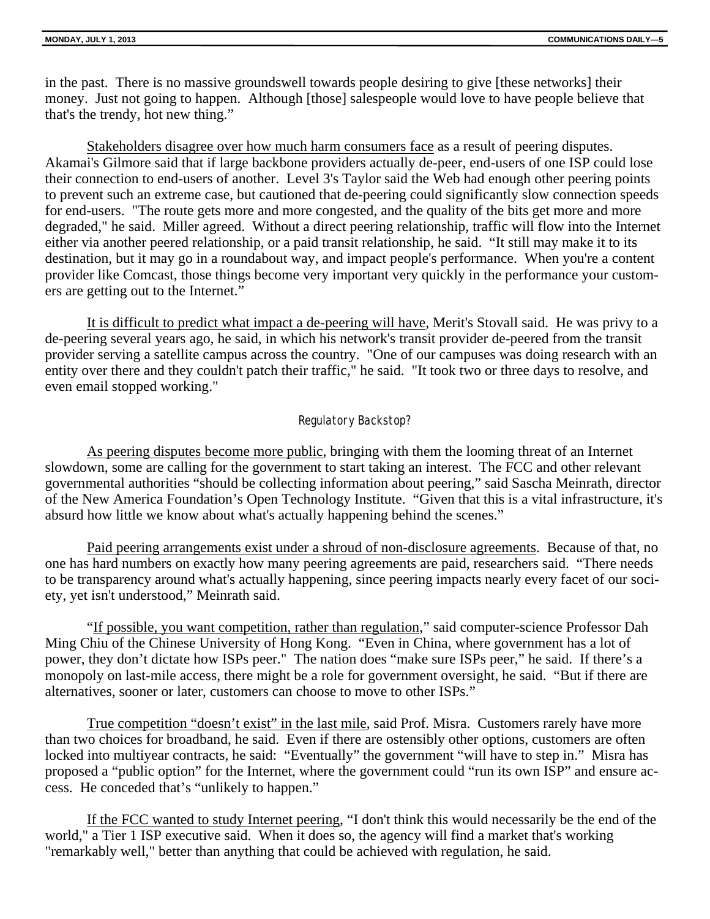in the past. There is no massive groundswell towards people desiring to give [these networks] their money. Just not going to happen. Although [those] salespeople would love to have people believe that that's the trendy, hot new thing."

Stakeholders disagree over how much harm consumers face as a result of peering disputes. Akamai's Gilmore said that if large backbone providers actually de-peer, end-users of one ISP could lose their connection to end-users of another. Level 3's Taylor said the Web had enough other peering points to prevent such an extreme case, but cautioned that de-peering could significantly slow connection speeds for end-users. "The route gets more and more congested, and the quality of the bits get more and more degraded," he said. Miller agreed. Without a direct peering relationship, traffic will flow into the Internet either via another peered relationship, or a paid transit relationship, he said. "It still may make it to its destination, but it may go in a roundabout way, and impact people's performance. When you're a content provider like Comcast, those things become very important very quickly in the performance your customers are getting out to the Internet."

It is difficult to predict what impact a de-peering will have, Merit's Stovall said. He was privy to a de-peering several years ago, he said, in which his network's transit provider de-peered from the transit provider serving a satellite campus across the country. "One of our campuses was doing research with an entity over there and they couldn't patch their traffic," he said. "It took two or three days to resolve, and even email stopped working."

### Regulatory Backstop?

As peering disputes become more public, bringing with them the looming threat of an Internet slowdown, some are calling for the government to start taking an interest. The FCC and other relevant governmental authorities "should be collecting information about peering," said Sascha Meinrath, director of the New America Foundation's Open Technology Institute. "Given that this is a vital infrastructure, it's absurd how little we know about what's actually happening behind the scenes."

Paid peering arrangements exist under a shroud of non-disclosure agreements. Because of that, no one has hard numbers on exactly how many peering agreements are paid, researchers said. "There needs to be transparency around what's actually happening, since peering impacts nearly every facet of our society, yet isn't understood," Meinrath said.

"If possible, you want competition, rather than regulation," said computer-science Professor Dah Ming Chiu of the Chinese University of Hong Kong. "Even in China, where government has a lot of power, they don't dictate how ISPs peer." The nation does "make sure ISPs peer," he said. If there's a monopoly on last-mile access, there might be a role for government oversight, he said. "But if there are alternatives, sooner or later, customers can choose to move to other ISPs."

True competition "doesn't exist" in the last mile, said Prof. Misra. Customers rarely have more than two choices for broadband, he said. Even if there are ostensibly other options, customers are often locked into multiyear contracts, he said: "Eventually" the government "will have to step in." Misra has proposed a "public option" for the Internet, where the government could "run its own ISP" and ensure access. He conceded that's "unlikely to happen."

If the FCC wanted to study Internet peering, "I don't think this would necessarily be the end of the world," a Tier 1 ISP executive said. When it does so, the agency will find a market that's working "remarkably well," better than anything that could be achieved with regulation, he said.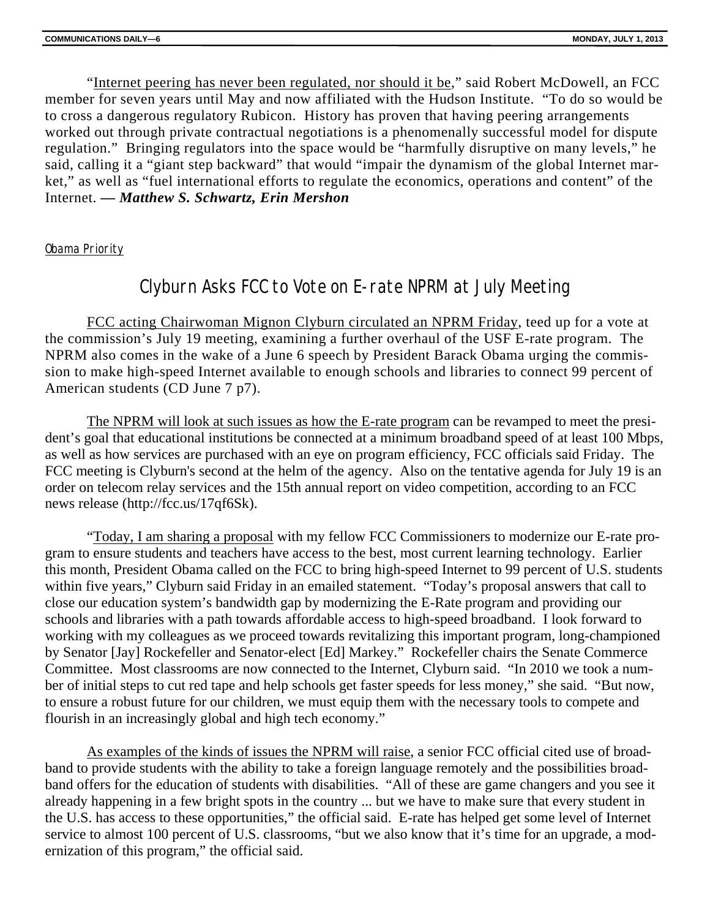"Internet peering has never been regulated, nor should it be," said Robert McDowell, an FCC member for seven years until May and now affiliated with the Hudson Institute. "To do so would be to cross a dangerous regulatory Rubicon. History has proven that having peering arrangements worked out through private contractual negotiations is a phenomenally successful model for dispute regulation." Bringing regulators into the space would be "harmfully disruptive on many levels," he said, calling it a "giant step backward" that would "impair the dynamism of the global Internet market," as well as "fuel international efforts to regulate the economics, operations and content" of the Internet. *— Matthew S. Schwartz, Erin Mershon*

### Obama Priority

## Clyburn Asks FCC to Vote on E-rate NPRM at July Meeting

FCC acting Chairwoman Mignon Clyburn circulated an NPRM Friday, teed up for a vote at the commission's July 19 meeting, examining a further overhaul of the USF E-rate program. The NPRM also comes in the wake of a June 6 speech by President Barack Obama urging the commission to make high-speed Internet available to enough schools and libraries to connect 99 percent of American students (CD June 7 p7).

The NPRM will look at such issues as how the E-rate program can be revamped to meet the president's goal that educational institutions be connected at a minimum broadband speed of at least 100 Mbps, as well as how services are purchased with an eye on program efficiency, FCC officials said Friday. The FCC meeting is Clyburn's second at the helm of the agency. Also on the tentative agenda for July 19 is an order on telecom relay services and the 15th annual report on video competition, according to an FCC news release (http://fcc.us/17qf6Sk).

"Today, I am sharing a proposal with my fellow FCC Commissioners to modernize our E-rate program to ensure students and teachers have access to the best, most current learning technology. Earlier this month, President Obama called on the FCC to bring high-speed Internet to 99 percent of U.S. students within five years," Clyburn said Friday in an emailed statement. "Today's proposal answers that call to close our education system's bandwidth gap by modernizing the E-Rate program and providing our schools and libraries with a path towards affordable access to high-speed broadband. I look forward to working with my colleagues as we proceed towards revitalizing this important program, long-championed by Senator [Jay] Rockefeller and Senator-elect [Ed] Markey." Rockefeller chairs the Senate Commerce Committee. Most classrooms are now connected to the Internet, Clyburn said. "In 2010 we took a number of initial steps to cut red tape and help schools get faster speeds for less money," she said. "But now, to ensure a robust future for our children, we must equip them with the necessary tools to compete and flourish in an increasingly global and high tech economy."

As examples of the kinds of issues the NPRM will raise, a senior FCC official cited use of broadband to provide students with the ability to take a foreign language remotely and the possibilities broadband offers for the education of students with disabilities. "All of these are game changers and you see it already happening in a few bright spots in the country ... but we have to make sure that every student in the U.S. has access to these opportunities," the official said. E-rate has helped get some level of Internet service to almost 100 percent of U.S. classrooms, "but we also know that it's time for an upgrade, a modernization of this program," the official said.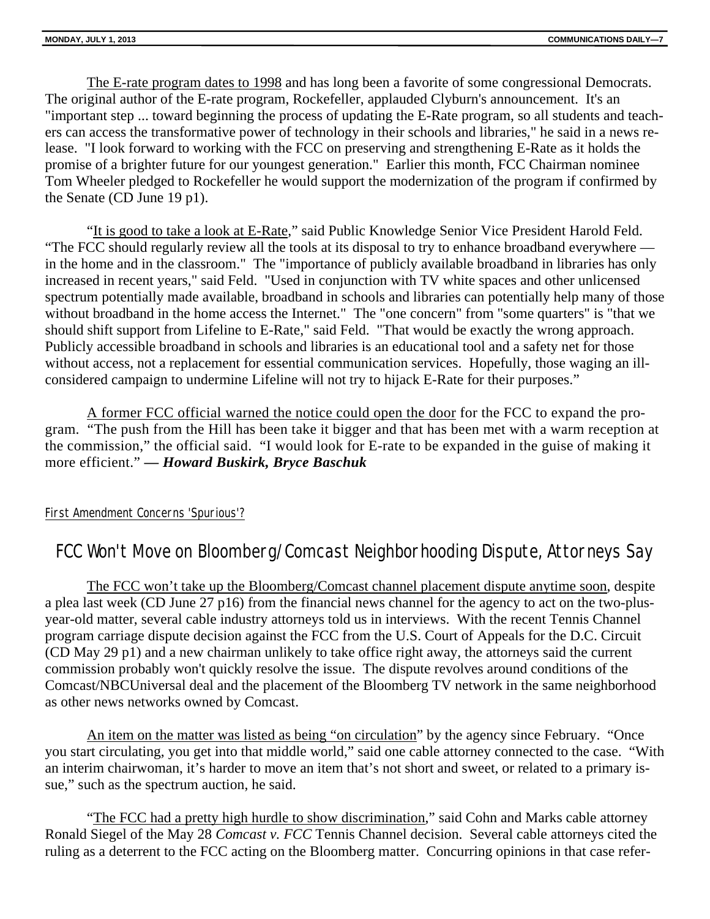The E-rate program dates to 1998 and has long been a favorite of some congressional Democrats. The original author of the E-rate program, Rockefeller, applauded Clyburn's announcement. It's an "important step ... toward beginning the process of updating the E-Rate program, so all students and teachers can access the transformative power of technology in their schools and libraries," he said in a news release. "I look forward to working with the FCC on preserving and strengthening E-Rate as it holds the promise of a brighter future for our youngest generation." Earlier this month, FCC Chairman nominee Tom Wheeler pledged to Rockefeller he would support the modernization of the program if confirmed by the Senate (CD June 19 p1).

"It is good to take a look at E-Rate," said Public Knowledge Senior Vice President Harold Feld. "The FCC should regularly review all the tools at its disposal to try to enhance broadband everywhere in the home and in the classroom." The "importance of publicly available broadband in libraries has only increased in recent years," said Feld. "Used in conjunction with TV white spaces and other unlicensed spectrum potentially made available, broadband in schools and libraries can potentially help many of those without broadband in the home access the Internet." The "one concern" from "some quarters" is "that we should shift support from Lifeline to E-Rate," said Feld. "That would be exactly the wrong approach. Publicly accessible broadband in schools and libraries is an educational tool and a safety net for those without access, not a replacement for essential communication services. Hopefully, those waging an illconsidered campaign to undermine Lifeline will not try to hijack E-Rate for their purposes."

A former FCC official warned the notice could open the door for the FCC to expand the program. "The push from the Hill has been take it bigger and that has been met with a warm reception at the commission," the official said. "I would look for E-rate to be expanded in the guise of making it more efficient." *— Howard Buskirk, Bryce Baschuk*

### First Amendment Concerns 'Spurious'?

## FCC Won't Move on Bloomberg/Comcast Neighborhooding Dispute, Attorneys Say

The FCC won't take up the Bloomberg/Comcast channel placement dispute anytime soon, despite a plea last week (CD June 27 p16) from the financial news channel for the agency to act on the two-plusyear-old matter, several cable industry attorneys told us in interviews. With the recent Tennis Channel program carriage dispute decision against the FCC from the U.S. Court of Appeals for the D.C. Circuit (CD May 29 p1) and a new chairman unlikely to take office right away, the attorneys said the current commission probably won't quickly resolve the issue. The dispute revolves around conditions of the Comcast/NBCUniversal deal and the placement of the Bloomberg TV network in the same neighborhood as other news networks owned by Comcast.

An item on the matter was listed as being "on circulation" by the agency since February. "Once you start circulating, you get into that middle world," said one cable attorney connected to the case. "With an interim chairwoman, it's harder to move an item that's not short and sweet, or related to a primary issue," such as the spectrum auction, he said.

"The FCC had a pretty high hurdle to show discrimination," said Cohn and Marks cable attorney Ronald Siegel of the May 28 *Comcast v. FCC* Tennis Channel decision. Several cable attorneys cited the ruling as a deterrent to the FCC acting on the Bloomberg matter. Concurring opinions in that case refer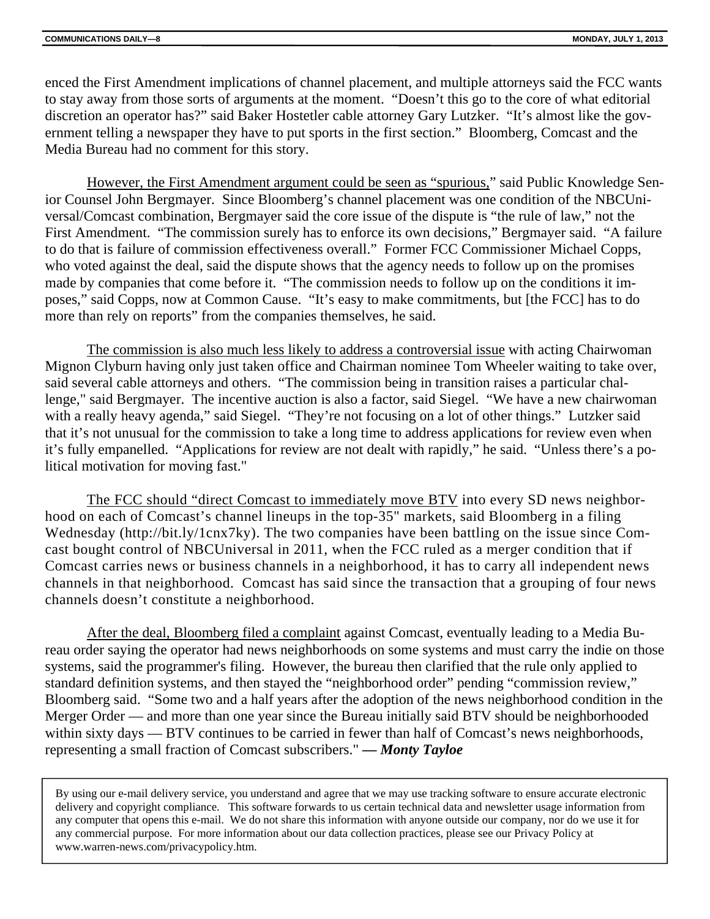enced the First Amendment implications of channel placement, and multiple attorneys said the FCC wants to stay away from those sorts of arguments at the moment. "Doesn't this go to the core of what editorial discretion an operator has?" said Baker Hostetler cable attorney Gary Lutzker. "It's almost like the government telling a newspaper they have to put sports in the first section." Bloomberg, Comcast and the Media Bureau had no comment for this story.

However, the First Amendment argument could be seen as "spurious," said Public Knowledge Senior Counsel John Bergmayer. Since Bloomberg's channel placement was one condition of the NBCUniversal/Comcast combination, Bergmayer said the core issue of the dispute is "the rule of law," not the First Amendment. "The commission surely has to enforce its own decisions," Bergmayer said. "A failure to do that is failure of commission effectiveness overall." Former FCC Commissioner Michael Copps, who voted against the deal, said the dispute shows that the agency needs to follow up on the promises made by companies that come before it. "The commission needs to follow up on the conditions it imposes," said Copps, now at Common Cause. "It's easy to make commitments, but [the FCC] has to do more than rely on reports" from the companies themselves, he said.

The commission is also much less likely to address a controversial issue with acting Chairwoman Mignon Clyburn having only just taken office and Chairman nominee Tom Wheeler waiting to take over, said several cable attorneys and others. "The commission being in transition raises a particular challenge," said Bergmayer. The incentive auction is also a factor, said Siegel. "We have a new chairwoman with a really heavy agenda," said Siegel. "They're not focusing on a lot of other things." Lutzker said that it's not unusual for the commission to take a long time to address applications for review even when it's fully empanelled. "Applications for review are not dealt with rapidly," he said. "Unless there's a political motivation for moving fast."

The FCC should "direct Comcast to immediately move BTV into every SD news neighborhood on each of Comcast's channel lineups in the top-35" markets, said Bloomberg in a filing Wednesday (http://bit.ly/1cnx7ky). The two companies have been battling on the issue since Comcast bought control of NBCUniversal in 2011, when the FCC ruled as a merger condition that if Comcast carries news or business channels in a neighborhood, it has to carry all independent news channels in that neighborhood. Comcast has said since the transaction that a grouping of four news channels doesn't constitute a neighborhood.

After the deal, Bloomberg filed a complaint against Comcast, eventually leading to a Media Bureau order saying the operator had news neighborhoods on some systems and must carry the indie on those systems, said the programmer's filing. However, the bureau then clarified that the rule only applied to standard definition systems, and then stayed the "neighborhood order" pending "commission review," Bloomberg said. "Some two and a half years after the adoption of the news neighborhood condition in the Merger Order — and more than one year since the Bureau initially said BTV should be neighborhooded within sixty days — BTV continues to be carried in fewer than half of Comcast's news neighborhoods, representing a small fraction of Comcast subscribers." *— Monty Tayloe*

By using our e-mail delivery service, you understand and agree that we may use tracking software to ensure accurate electronic delivery and copyright compliance. This software forwards to us certain technical data and newsletter usage information from any computer that opens this e-mail. We do not share this information with anyone outside our company, nor do we use it for any commercial purpose. For more information about our data collection practices, please see our Privacy Policy at www.warren-news.com/privacypolicy.htm.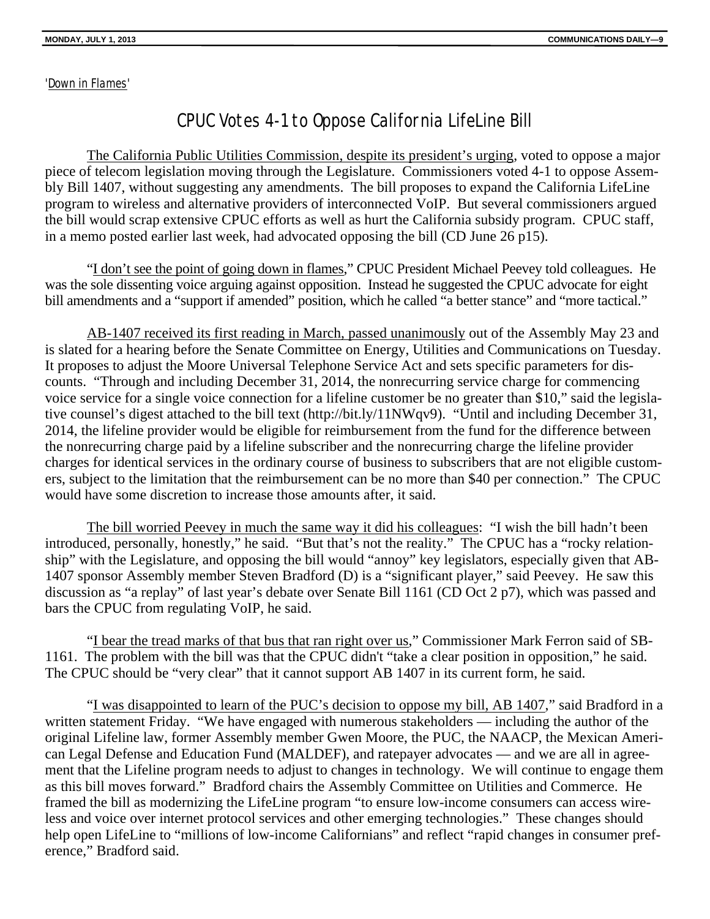'Down in Flames'

## CPUC Votes 4-1 to Oppose California LifeLine Bill

The California Public Utilities Commission, despite its president's urging, voted to oppose a major piece of telecom legislation moving through the Legislature. Commissioners voted 4-1 to oppose Assembly Bill 1407, without suggesting any amendments. The bill proposes to expand the California LifeLine program to wireless and alternative providers of interconnected VoIP. But several commissioners argued the bill would scrap extensive CPUC efforts as well as hurt the California subsidy program. CPUC staff, in a memo posted earlier last week, had advocated opposing the bill (CD June 26 p15).

"I don't see the point of going down in flames," CPUC President Michael Peevey told colleagues. He was the sole dissenting voice arguing against opposition. Instead he suggested the CPUC advocate for eight bill amendments and a "support if amended" position, which he called "a better stance" and "more tactical."

AB-1407 received its first reading in March, passed unanimously out of the Assembly May 23 and is slated for a hearing before the Senate Committee on Energy, Utilities and Communications on Tuesday. It proposes to adjust the Moore Universal Telephone Service Act and sets specific parameters for discounts. "Through and including December 31, 2014, the nonrecurring service charge for commencing voice service for a single voice connection for a lifeline customer be no greater than \$10," said the legislative counsel's digest attached to the bill text (http://bit.ly/11NWqv9). "Until and including December 31, 2014, the lifeline provider would be eligible for reimbursement from the fund for the difference between the nonrecurring charge paid by a lifeline subscriber and the nonrecurring charge the lifeline provider charges for identical services in the ordinary course of business to subscribers that are not eligible customers, subject to the limitation that the reimbursement can be no more than \$40 per connection." The CPUC would have some discretion to increase those amounts after, it said.

The bill worried Peevey in much the same way it did his colleagues: "I wish the bill hadn't been introduced, personally, honestly," he said. "But that's not the reality." The CPUC has a "rocky relationship" with the Legislature, and opposing the bill would "annoy" key legislators, especially given that AB-1407 sponsor Assembly member Steven Bradford (D) is a "significant player," said Peevey. He saw this discussion as "a replay" of last year's debate over Senate Bill 1161 (CD Oct 2 p7), which was passed and bars the CPUC from regulating VoIP, he said.

"I bear the tread marks of that bus that ran right over us," Commissioner Mark Ferron said of SB-1161. The problem with the bill was that the CPUC didn't "take a clear position in opposition," he said. The CPUC should be "very clear" that it cannot support AB 1407 in its current form, he said.

"I was disappointed to learn of the PUC's decision to oppose my bill, AB 1407," said Bradford in a written statement Friday. "We have engaged with numerous stakeholders — including the author of the original Lifeline law, former Assembly member Gwen Moore, the PUC, the NAACP, the Mexican American Legal Defense and Education Fund (MALDEF), and ratepayer advocates — and we are all in agreement that the Lifeline program needs to adjust to changes in technology. We will continue to engage them as this bill moves forward." Bradford chairs the Assembly Committee on Utilities and Commerce. He framed the bill as modernizing the LifeLine program "to ensure low-income consumers can access wireless and voice over internet protocol services and other emerging technologies." These changes should help open LifeLine to "millions of low-income Californians" and reflect "rapid changes in consumer preference," Bradford said.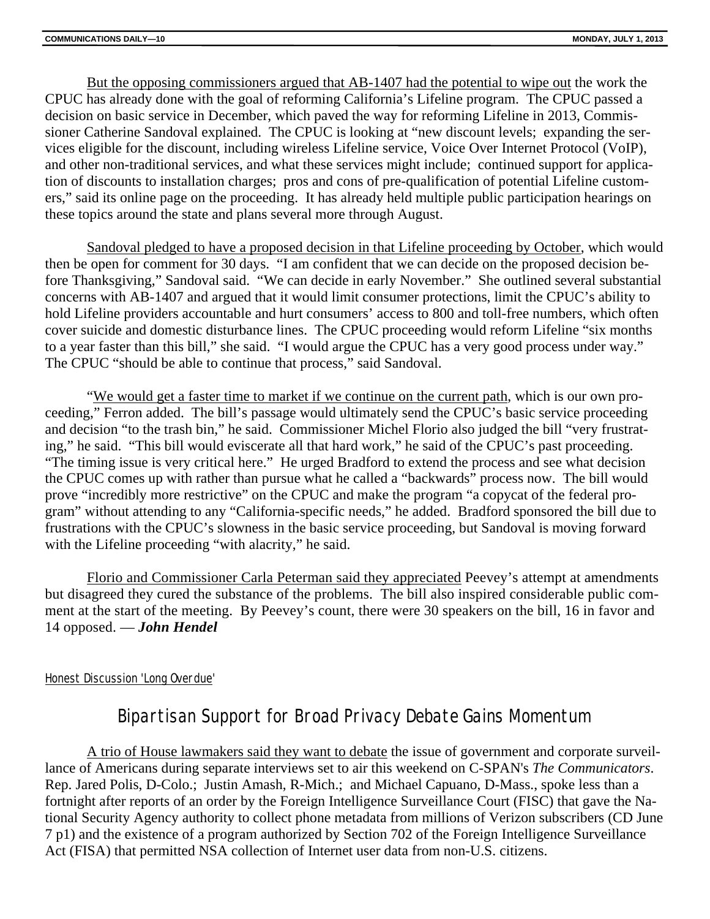But the opposing commissioners argued that AB-1407 had the potential to wipe out the work the CPUC has already done with the goal of reforming California's Lifeline program. The CPUC passed a decision on basic service in December, which paved the way for reforming Lifeline in 2013, Commissioner Catherine Sandoval explained. The CPUC is looking at "new discount levels; expanding the services eligible for the discount, including wireless Lifeline service, Voice Over Internet Protocol (VoIP), and other non-traditional services, and what these services might include; continued support for application of discounts to installation charges; pros and cons of pre-qualification of potential Lifeline customers," said its online page on the proceeding. It has already held multiple public participation hearings on these topics around the state and plans several more through August.

Sandoval pledged to have a proposed decision in that Lifeline proceeding by October, which would then be open for comment for 30 days. "I am confident that we can decide on the proposed decision before Thanksgiving," Sandoval said. "We can decide in early November." She outlined several substantial concerns with AB-1407 and argued that it would limit consumer protections, limit the CPUC's ability to hold Lifeline providers accountable and hurt consumers' access to 800 and toll-free numbers, which often cover suicide and domestic disturbance lines. The CPUC proceeding would reform Lifeline "six months to a year faster than this bill," she said. "I would argue the CPUC has a very good process under way." The CPUC "should be able to continue that process," said Sandoval.

"We would get a faster time to market if we continue on the current path, which is our own proceeding," Ferron added. The bill's passage would ultimately send the CPUC's basic service proceeding and decision "to the trash bin," he said. Commissioner Michel Florio also judged the bill "very frustrating," he said. "This bill would eviscerate all that hard work," he said of the CPUC's past proceeding. "The timing issue is very critical here." He urged Bradford to extend the process and see what decision the CPUC comes up with rather than pursue what he called a "backwards" process now. The bill would prove "incredibly more restrictive" on the CPUC and make the program "a copycat of the federal program" without attending to any "California-specific needs," he added. Bradford sponsored the bill due to frustrations with the CPUC's slowness in the basic service proceeding, but Sandoval is moving forward with the Lifeline proceeding "with alacrity," he said.

Florio and Commissioner Carla Peterman said they appreciated Peevey's attempt at amendments but disagreed they cured the substance of the problems. The bill also inspired considerable public comment at the start of the meeting. By Peevey's count, there were 30 speakers on the bill, 16 in favor and 14 opposed. — *John Hendel*

#### Honest Discussion 'Long Overdue'

## Bipartisan Support for Broad Privacy Debate Gains Momentum

A trio of House lawmakers said they want to debate the issue of government and corporate surveillance of Americans during separate interviews set to air this weekend on C-SPAN's *The Communicators*. Rep. Jared Polis, D-Colo.; Justin Amash, R-Mich.; and Michael Capuano, D-Mass., spoke less than a fortnight after reports of an order by the Foreign Intelligence Surveillance Court (FISC) that gave the National Security Agency authority to collect phone metadata from millions of Verizon subscribers (CD June 7 p1) and the existence of a program authorized by Section 702 of the Foreign Intelligence Surveillance Act (FISA) that permitted NSA collection of Internet user data from non-U.S. citizens.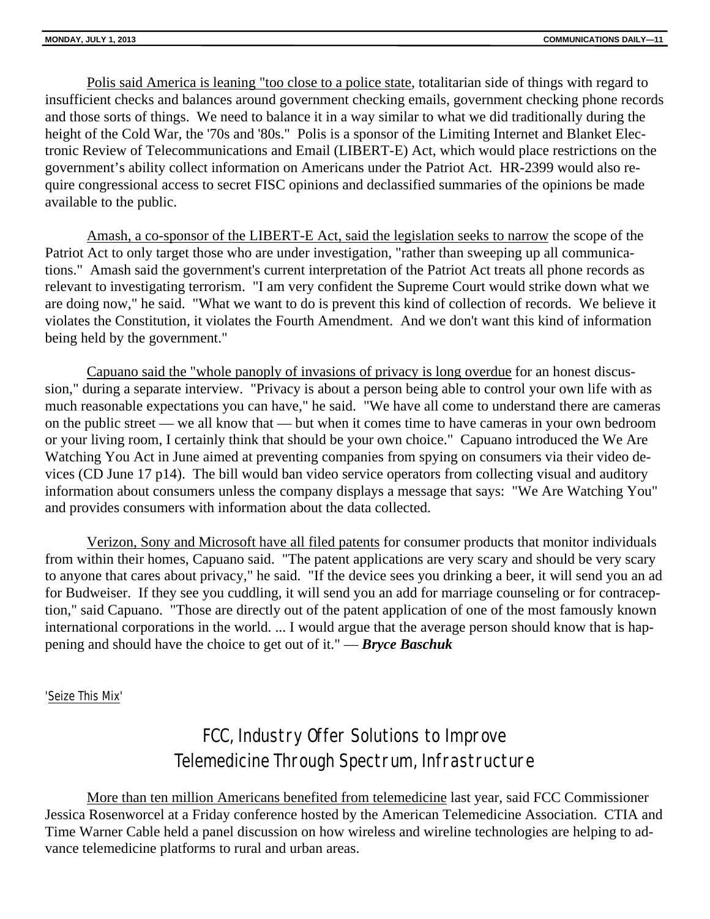Polis said America is leaning "too close to a police state, totalitarian side of things with regard to insufficient checks and balances around government checking emails, government checking phone records and those sorts of things. We need to balance it in a way similar to what we did traditionally during the height of the Cold War, the '70s and '80s." Polis is a sponsor of the Limiting Internet and Blanket Electronic Review of Telecommunications and Email (LIBERT-E) Act, which would place restrictions on the government's ability collect information on Americans under the Patriot Act. HR-2399 would also require congressional access to secret FISC opinions and declassified summaries of the opinions be made available to the public.

Amash, a co-sponsor of the LIBERT-E Act, said the legislation seeks to narrow the scope of the Patriot Act to only target those who are under investigation, "rather than sweeping up all communications." Amash said the government's current interpretation of the Patriot Act treats all phone records as relevant to investigating terrorism. "I am very confident the Supreme Court would strike down what we are doing now," he said. "What we want to do is prevent this kind of collection of records. We believe it violates the Constitution, it violates the Fourth Amendment. And we don't want this kind of information being held by the government."

Capuano said the "whole panoply of invasions of privacy is long overdue for an honest discussion," during a separate interview. "Privacy is about a person being able to control your own life with as much reasonable expectations you can have," he said. "We have all come to understand there are cameras on the public street — we all know that — but when it comes time to have cameras in your own bedroom or your living room, I certainly think that should be your own choice." Capuano introduced the We Are Watching You Act in June aimed at preventing companies from spying on consumers via their video devices (CD June 17 p14). The bill would ban video service operators from collecting visual and auditory information about consumers unless the company displays a message that says: "We Are Watching You" and provides consumers with information about the data collected.

Verizon, Sony and Microsoft have all filed patents for consumer products that monitor individuals from within their homes, Capuano said. "The patent applications are very scary and should be very scary to anyone that cares about privacy," he said. "If the device sees you drinking a beer, it will send you an ad for Budweiser. If they see you cuddling, it will send you an add for marriage counseling or for contraception," said Capuano. "Those are directly out of the patent application of one of the most famously known international corporations in the world. ... I would argue that the average person should know that is happening and should have the choice to get out of it." — *Bryce Baschuk*

### 'Seize This Mix'

## FCC, Industry Offer Solutions to Improve Telemedicine Through Spectrum, Infrastructure

More than ten million Americans benefited from telemedicine last year, said FCC Commissioner Jessica Rosenworcel at a Friday conference hosted by the American Telemedicine Association. CTIA and Time Warner Cable held a panel discussion on how wireless and wireline technologies are helping to advance telemedicine platforms to rural and urban areas.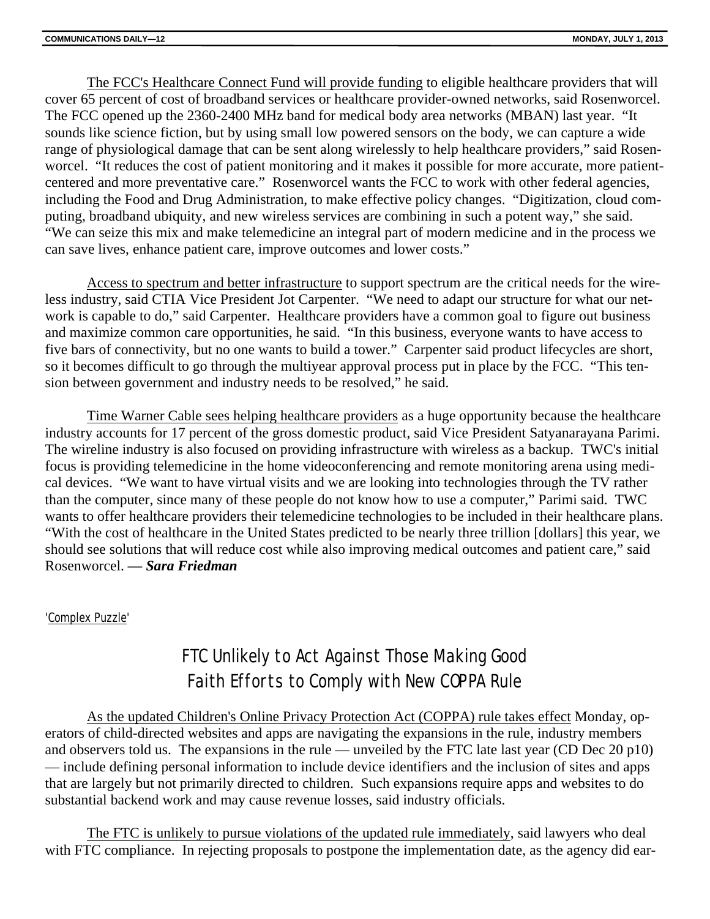The FCC's Healthcare Connect Fund will provide funding to eligible healthcare providers that will cover 65 percent of cost of broadband services or healthcare provider-owned networks, said Rosenworcel. The FCC opened up the 2360-2400 MHz band for medical body area networks (MBAN) last year. "It sounds like science fiction, but by using small low powered sensors on the body, we can capture a wide range of physiological damage that can be sent along wirelessly to help healthcare providers," said Rosenworcel. "It reduces the cost of patient monitoring and it makes it possible for more accurate, more patientcentered and more preventative care." Rosenworcel wants the FCC to work with other federal agencies, including the Food and Drug Administration, to make effective policy changes. "Digitization, cloud computing, broadband ubiquity, and new wireless services are combining in such a potent way," she said. "We can seize this mix and make telemedicine an integral part of modern medicine and in the process we can save lives, enhance patient care, improve outcomes and lower costs."

Access to spectrum and better infrastructure to support spectrum are the critical needs for the wireless industry, said CTIA Vice President Jot Carpenter. "We need to adapt our structure for what our network is capable to do," said Carpenter. Healthcare providers have a common goal to figure out business and maximize common care opportunities, he said. "In this business, everyone wants to have access to five bars of connectivity, but no one wants to build a tower." Carpenter said product lifecycles are short, so it becomes difficult to go through the multiyear approval process put in place by the FCC. "This tension between government and industry needs to be resolved," he said.

Time Warner Cable sees helping healthcare providers as a huge opportunity because the healthcare industry accounts for 17 percent of the gross domestic product, said Vice President Satyanarayana Parimi. The wireline industry is also focused on providing infrastructure with wireless as a backup. TWC's initial focus is providing telemedicine in the home videoconferencing and remote monitoring arena using medical devices. "We want to have virtual visits and we are looking into technologies through the TV rather than the computer, since many of these people do not know how to use a computer," Parimi said. TWC wants to offer healthcare providers their telemedicine technologies to be included in their healthcare plans. "With the cost of healthcare in the United States predicted to be nearly three trillion [dollars] this year, we should see solutions that will reduce cost while also improving medical outcomes and patient care," said Rosenworcel. *— Sara Friedman*

### 'Complex Puzzle'

## FTC Unlikely to Act Against Those Making Good Faith Efforts to Comply with New COPPA Rule

As the updated Children's Online Privacy Protection Act (COPPA) rule takes effect Monday, operators of child-directed websites and apps are navigating the expansions in the rule, industry members and observers told us. The expansions in the rule — unveiled by the FTC late last year (CD Dec 20 p10) — include defining personal information to include device identifiers and the inclusion of sites and apps that are largely but not primarily directed to children. Such expansions require apps and websites to do substantial backend work and may cause revenue losses, said industry officials.

The FTC is unlikely to pursue violations of the updated rule immediately, said lawyers who deal with FTC compliance. In rejecting proposals to postpone the implementation date, as the agency did ear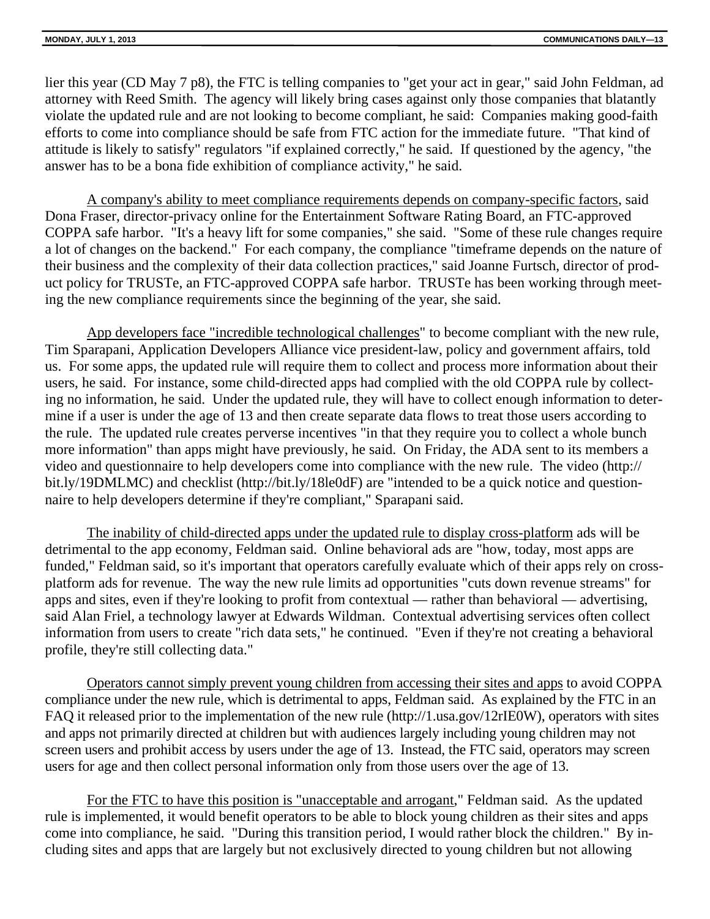lier this year (CD May 7 p8), the FTC is telling companies to "get your act in gear," said John Feldman, ad attorney with Reed Smith. The agency will likely bring cases against only those companies that blatantly violate the updated rule and are not looking to become compliant, he said: Companies making good-faith efforts to come into compliance should be safe from FTC action for the immediate future. "That kind of attitude is likely to satisfy" regulators "if explained correctly," he said. If questioned by the agency, "the answer has to be a bona fide exhibition of compliance activity," he said.

A company's ability to meet compliance requirements depends on company-specific factors, said Dona Fraser, director-privacy online for the Entertainment Software Rating Board, an FTC-approved COPPA safe harbor. "It's a heavy lift for some companies," she said. "Some of these rule changes require a lot of changes on the backend." For each company, the compliance "timeframe depends on the nature of their business and the complexity of their data collection practices," said Joanne Furtsch, director of product policy for TRUSTe, an FTC-approved COPPA safe harbor. TRUSTe has been working through meeting the new compliance requirements since the beginning of the year, she said.

App developers face "incredible technological challenges" to become compliant with the new rule, Tim Sparapani, Application Developers Alliance vice president-law, policy and government affairs, told us. For some apps, the updated rule will require them to collect and process more information about their users, he said. For instance, some child-directed apps had complied with the old COPPA rule by collecting no information, he said. Under the updated rule, they will have to collect enough information to determine if a user is under the age of 13 and then create separate data flows to treat those users according to the rule. The updated rule creates perverse incentives "in that they require you to collect a whole bunch more information" than apps might have previously, he said. On Friday, the ADA sent to its members a video and questionnaire to help developers come into compliance with the new rule. The video (http:// bit.ly/19DMLMC) and checklist (http://bit.ly/18le0dF) are "intended to be a quick notice and questionnaire to help developers determine if they're compliant," Sparapani said.

The inability of child-directed apps under the updated rule to display cross-platform ads will be detrimental to the app economy, Feldman said. Online behavioral ads are "how, today, most apps are funded," Feldman said, so it's important that operators carefully evaluate which of their apps rely on crossplatform ads for revenue. The way the new rule limits ad opportunities "cuts down revenue streams" for apps and sites, even if they're looking to profit from contextual — rather than behavioral — advertising, said Alan Friel, a technology lawyer at Edwards Wildman. Contextual advertising services often collect information from users to create "rich data sets," he continued. "Even if they're not creating a behavioral profile, they're still collecting data."

Operators cannot simply prevent young children from accessing their sites and apps to avoid COPPA compliance under the new rule, which is detrimental to apps, Feldman said. As explained by the FTC in an FAQ it released prior to the implementation of the new rule (http://1.usa.gov/12rIE0W), operators with sites and apps not primarily directed at children but with audiences largely including young children may not screen users and prohibit access by users under the age of 13. Instead, the FTC said, operators may screen users for age and then collect personal information only from those users over the age of 13.

For the FTC to have this position is "unacceptable and arrogant," Feldman said. As the updated rule is implemented, it would benefit operators to be able to block young children as their sites and apps come into compliance, he said. "During this transition period, I would rather block the children." By including sites and apps that are largely but not exclusively directed to young children but not allowing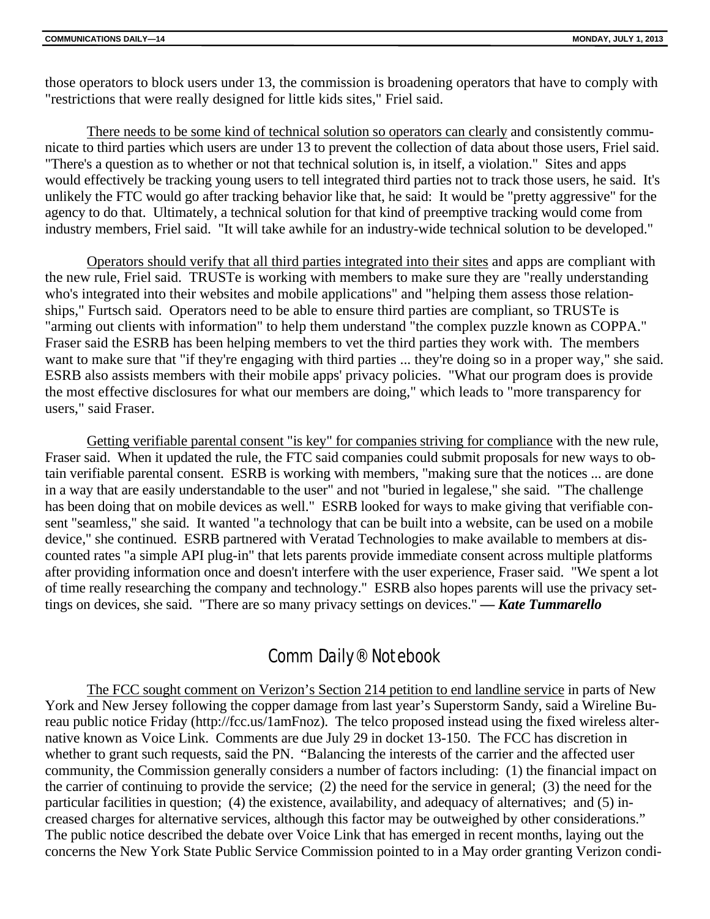those operators to block users under 13, the commission is broadening operators that have to comply with "restrictions that were really designed for little kids sites," Friel said.

There needs to be some kind of technical solution so operators can clearly and consistently communicate to third parties which users are under 13 to prevent the collection of data about those users, Friel said. "There's a question as to whether or not that technical solution is, in itself, a violation." Sites and apps would effectively be tracking young users to tell integrated third parties not to track those users, he said. It's unlikely the FTC would go after tracking behavior like that, he said: It would be "pretty aggressive" for the agency to do that. Ultimately, a technical solution for that kind of preemptive tracking would come from industry members, Friel said. "It will take awhile for an industry-wide technical solution to be developed."

Operators should verify that all third parties integrated into their sites and apps are compliant with the new rule, Friel said. TRUSTe is working with members to make sure they are "really understanding who's integrated into their websites and mobile applications" and "helping them assess those relationships," Furtsch said. Operators need to be able to ensure third parties are compliant, so TRUSTe is "arming out clients with information" to help them understand "the complex puzzle known as COPPA." Fraser said the ESRB has been helping members to vet the third parties they work with. The members want to make sure that "if they're engaging with third parties ... they're doing so in a proper way," she said. ESRB also assists members with their mobile apps' privacy policies. "What our program does is provide the most effective disclosures for what our members are doing," which leads to "more transparency for users," said Fraser.

Getting verifiable parental consent "is key" for companies striving for compliance with the new rule, Fraser said. When it updated the rule, the FTC said companies could submit proposals for new ways to obtain verifiable parental consent. ESRB is working with members, "making sure that the notices ... are done in a way that are easily understandable to the user" and not "buried in legalese," she said. "The challenge has been doing that on mobile devices as well." ESRB looked for ways to make giving that verifiable consent "seamless," she said. It wanted "a technology that can be built into a website, can be used on a mobile device," she continued. ESRB partnered with Veratad Technologies to make available to members at discounted rates "a simple API plug-in" that lets parents provide immediate consent across multiple platforms after providing information once and doesn't interfere with the user experience, Fraser said. "We spent a lot of time really researching the company and technology." ESRB also hopes parents will use the privacy settings on devices, she said. "There are so many privacy settings on devices." *— Kate Tummarello*

## Comm Daily® Notebook

The FCC sought comment on Verizon's Section 214 petition to end landline service in parts of New York and New Jersey following the copper damage from last year's Superstorm Sandy, said a Wireline Bureau public notice Friday (http://fcc.us/1amFnoz). The telco proposed instead using the fixed wireless alternative known as Voice Link. Comments are due July 29 in docket 13-150. The FCC has discretion in whether to grant such requests, said the PN. "Balancing the interests of the carrier and the affected user community, the Commission generally considers a number of factors including: (1) the financial impact on the carrier of continuing to provide the service; (2) the need for the service in general; (3) the need for the particular facilities in question; (4) the existence, availability, and adequacy of alternatives; and (5) increased charges for alternative services, although this factor may be outweighed by other considerations." The public notice described the debate over Voice Link that has emerged in recent months, laying out the concerns the New York State Public Service Commission pointed to in a May order granting Verizon condi-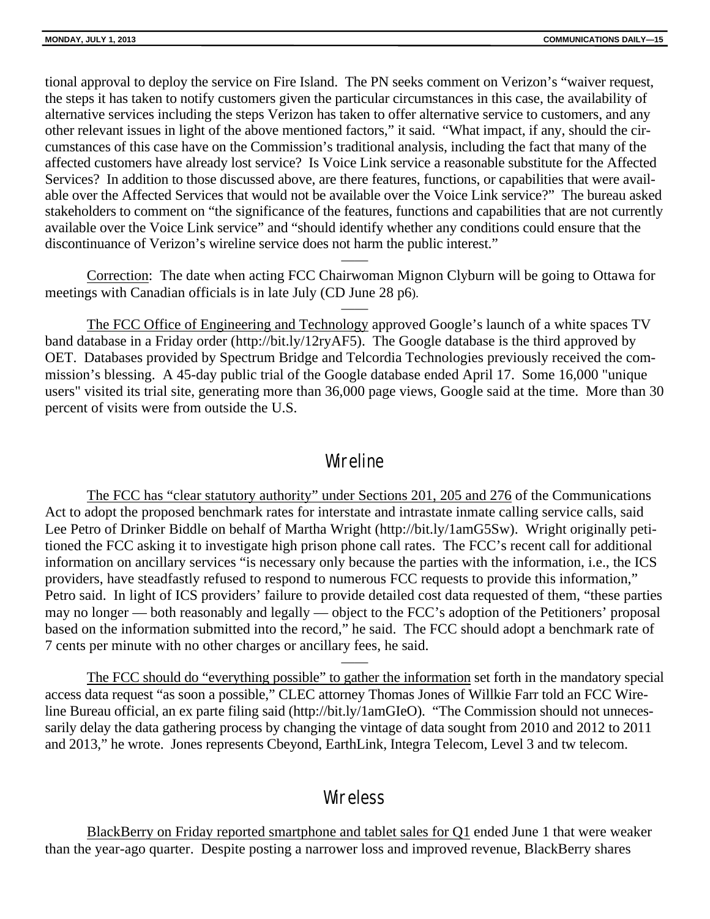tional approval to deploy the service on Fire Island. The PN seeks comment on Verizon's "waiver request, the steps it has taken to notify customers given the particular circumstances in this case, the availability of alternative services including the steps Verizon has taken to offer alternative service to customers, and any other relevant issues in light of the above mentioned factors," it said. "What impact, if any, should the circumstances of this case have on the Commission's traditional analysis, including the fact that many of the affected customers have already lost service? Is Voice Link service a reasonable substitute for the Affected Services? In addition to those discussed above, are there features, functions, or capabilities that were available over the Affected Services that would not be available over the Voice Link service?" The bureau asked stakeholders to comment on "the significance of the features, functions and capabilities that are not currently available over the Voice Link service" and "should identify whether any conditions could ensure that the discontinuance of Verizon's wireline service does not harm the public interest."

Correction: The date when acting FCC Chairwoman Mignon Clyburn will be going to Ottawa for meetings with Canadian officials is in late July (CD June 28 p6).

——

——

The FCC Office of Engineering and Technology approved Google's launch of a white spaces TV band database in a Friday order (http://bit.ly/12ryAF5). The Google database is the third approved by OET. Databases provided by Spectrum Bridge and Telcordia Technologies previously received the commission's blessing. A 45-day public trial of the Google database ended April 17. Some 16,000 "unique users" visited its trial site, generating more than 36,000 page views, Google said at the time. More than 30 percent of visits were from outside the U.S.

## Wireline

The FCC has "clear statutory authority" under Sections 201, 205 and 276 of the Communications Act to adopt the proposed benchmark rates for interstate and intrastate inmate calling service calls, said Lee Petro of Drinker Biddle on behalf of Martha Wright (http://bit.ly/1amG5Sw). Wright originally petitioned the FCC asking it to investigate high prison phone call rates. The FCC's recent call for additional information on ancillary services "is necessary only because the parties with the information, i.e., the ICS providers, have steadfastly refused to respond to numerous FCC requests to provide this information," Petro said. In light of ICS providers' failure to provide detailed cost data requested of them, "these parties may no longer — both reasonably and legally — object to the FCC's adoption of the Petitioners' proposal based on the information submitted into the record," he said. The FCC should adopt a benchmark rate of 7 cents per minute with no other charges or ancillary fees, he said.

The FCC should do "everything possible" to gather the information set forth in the mandatory special access data request "as soon a possible," CLEC attorney Thomas Jones of Willkie Farr told an FCC Wireline Bureau official, an ex parte filing said (http://bit.ly/1amGIeO). "The Commission should not unnecessarily delay the data gathering process by changing the vintage of data sought from 2010 and 2012 to 2011 and 2013," he wrote. Jones represents Cbeyond, EarthLink, Integra Telecom, Level 3 and tw telecom.

——

## **Wireless**

BlackBerry on Friday reported smartphone and tablet sales for Q1 ended June 1 that were weaker than the year-ago quarter. Despite posting a narrower loss and improved revenue, BlackBerry shares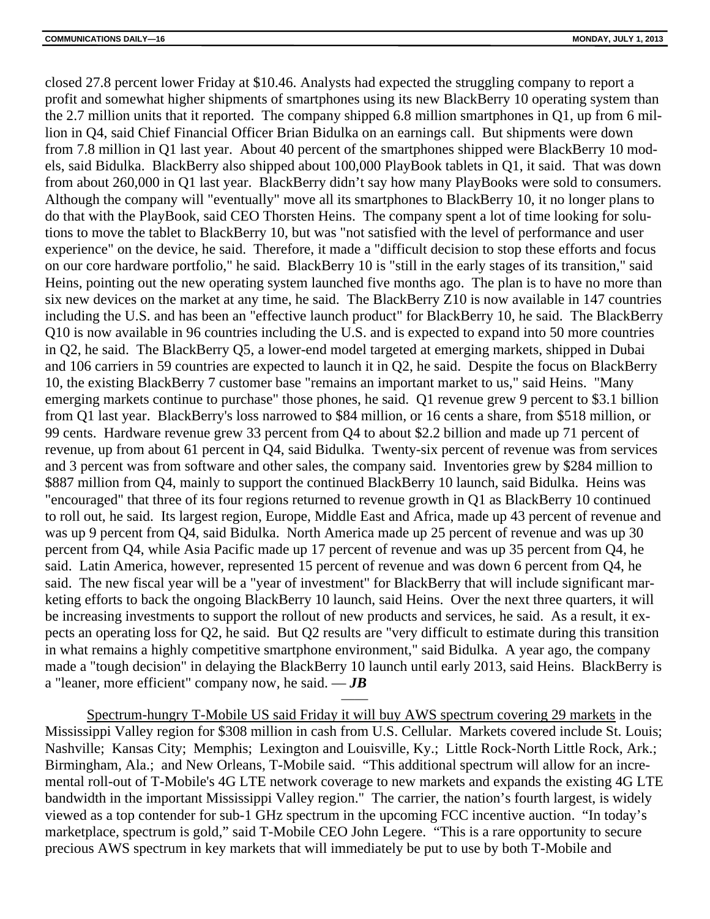closed 27.8 percent lower Friday at \$10.46. Analysts had expected the struggling company to report a profit and somewhat higher shipments of smartphones using its new BlackBerry 10 operating system than the 2.7 million units that it reported. The company shipped 6.8 million smartphones in Q1, up from 6 million in Q4, said Chief Financial Officer Brian Bidulka on an earnings call. But shipments were down from 7.8 million in Q1 last year. About 40 percent of the smartphones shipped were BlackBerry 10 models, said Bidulka. BlackBerry also shipped about 100,000 PlayBook tablets in Q1, it said. That was down from about 260,000 in Q1 last year. BlackBerry didn't say how many PlayBooks were sold to consumers. Although the company will "eventually" move all its smartphones to BlackBerry 10, it no longer plans to do that with the PlayBook, said CEO Thorsten Heins. The company spent a lot of time looking for solutions to move the tablet to BlackBerry 10, but was "not satisfied with the level of performance and user experience" on the device, he said. Therefore, it made a "difficult decision to stop these efforts and focus on our core hardware portfolio," he said. BlackBerry 10 is "still in the early stages of its transition," said Heins, pointing out the new operating system launched five months ago. The plan is to have no more than six new devices on the market at any time, he said. The BlackBerry Z10 is now available in 147 countries including the U.S. and has been an "effective launch product" for BlackBerry 10, he said. The BlackBerry Q10 is now available in 96 countries including the U.S. and is expected to expand into 50 more countries in Q2, he said. The BlackBerry Q5, a lower-end model targeted at emerging markets, shipped in Dubai and 106 carriers in 59 countries are expected to launch it in Q2, he said. Despite the focus on BlackBerry 10, the existing BlackBerry 7 customer base "remains an important market to us," said Heins. "Many emerging markets continue to purchase" those phones, he said. Q1 revenue grew 9 percent to \$3.1 billion from Q1 last year. BlackBerry's loss narrowed to \$84 million, or 16 cents a share, from \$518 million, or 99 cents. Hardware revenue grew 33 percent from Q4 to about \$2.2 billion and made up 71 percent of revenue, up from about 61 percent in Q4, said Bidulka. Twenty-six percent of revenue was from services and 3 percent was from software and other sales, the company said. Inventories grew by \$284 million to \$887 million from Q4, mainly to support the continued BlackBerry 10 launch, said Bidulka. Heins was "encouraged" that three of its four regions returned to revenue growth in Q1 as BlackBerry 10 continued to roll out, he said. Its largest region, Europe, Middle East and Africa, made up 43 percent of revenue and was up 9 percent from Q4, said Bidulka. North America made up 25 percent of revenue and was up 30 percent from Q4, while Asia Pacific made up 17 percent of revenue and was up 35 percent from Q4, he said. Latin America, however, represented 15 percent of revenue and was down 6 percent from Q4, he said. The new fiscal year will be a "year of investment" for BlackBerry that will include significant marketing efforts to back the ongoing BlackBerry 10 launch, said Heins. Over the next three quarters, it will be increasing investments to support the rollout of new products and services, he said. As a result, it expects an operating loss for Q2, he said. But Q2 results are "very difficult to estimate during this transition in what remains a highly competitive smartphone environment," said Bidulka. A year ago, the company made a "tough decision" in delaying the BlackBerry 10 launch until early 2013, said Heins. BlackBerry is a "leaner, more efficient" company now, he said. — *JB*

Spectrum-hungry T-Mobile US said Friday it will buy AWS spectrum covering 29 markets in the Mississippi Valley region for \$308 million in cash from U.S. Cellular. Markets covered include St. Louis; Nashville; Kansas City; Memphis; Lexington and Louisville, Ky.; Little Rock-North Little Rock, Ark.; Birmingham, Ala.; and New Orleans, T-Mobile said. "This additional spectrum will allow for an incremental roll-out of T-Mobile's 4G LTE network coverage to new markets and expands the existing 4G LTE bandwidth in the important Mississippi Valley region." The carrier, the nation's fourth largest, is widely viewed as a top contender for sub-1 GHz spectrum in the upcoming FCC incentive auction. "In today's marketplace, spectrum is gold," said T-Mobile CEO John Legere. "This is a rare opportunity to secure precious AWS spectrum in key markets that will immediately be put to use by both T-Mobile and

——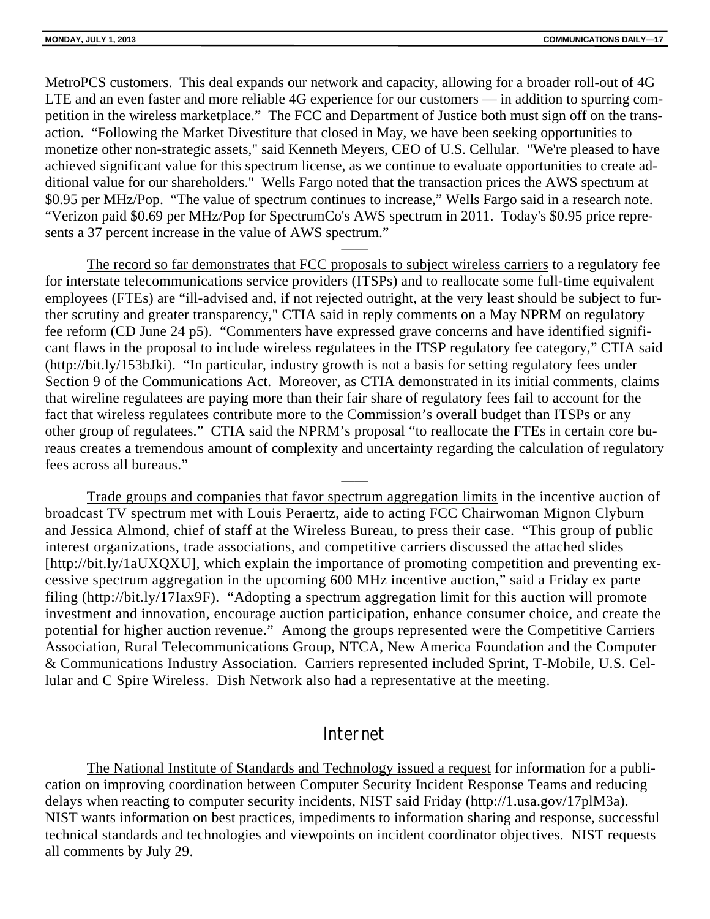MetroPCS customers. This deal expands our network and capacity, allowing for a broader roll-out of 4G LTE and an even faster and more reliable 4G experience for our customers — in addition to spurring competition in the wireless marketplace." The FCC and Department of Justice both must sign off on the transaction. "Following the Market Divestiture that closed in May, we have been seeking opportunities to monetize other non-strategic assets," said Kenneth Meyers, CEO of U.S. Cellular. "We're pleased to have achieved significant value for this spectrum license, as we continue to evaluate opportunities to create additional value for our shareholders." Wells Fargo noted that the transaction prices the AWS spectrum at \$0.95 per MHz/Pop. "The value of spectrum continues to increase," Wells Fargo said in a research note. "Verizon paid \$0.69 per MHz/Pop for SpectrumCo's AWS spectrum in 2011. Today's \$0.95 price represents a 37 percent increase in the value of AWS spectrum."

——

The record so far demonstrates that FCC proposals to subject wireless carriers to a regulatory fee for interstate telecommunications service providers (ITSPs) and to reallocate some full-time equivalent employees (FTEs) are "ill-advised and, if not rejected outright, at the very least should be subject to further scrutiny and greater transparency," CTIA said in reply comments on a May NPRM on regulatory fee reform (CD June 24 p5). "Commenters have expressed grave concerns and have identified significant flaws in the proposal to include wireless regulatees in the ITSP regulatory fee category," CTIA said (http://bit.ly/153bJki). "In particular, industry growth is not a basis for setting regulatory fees under Section 9 of the Communications Act. Moreover, as CTIA demonstrated in its initial comments, claims that wireline regulatees are paying more than their fair share of regulatory fees fail to account for the fact that wireless regulatees contribute more to the Commission's overall budget than ITSPs or any other group of regulatees." CTIA said the NPRM's proposal "to reallocate the FTEs in certain core bureaus creates a tremendous amount of complexity and uncertainty regarding the calculation of regulatory fees across all bureaus."

Trade groups and companies that favor spectrum aggregation limits in the incentive auction of broadcast TV spectrum met with Louis Peraertz, aide to acting FCC Chairwoman Mignon Clyburn and Jessica Almond, chief of staff at the Wireless Bureau, to press their case. "This group of public interest organizations, trade associations, and competitive carriers discussed the attached slides [http://bit.ly/1aUXQXU], which explain the importance of promoting competition and preventing excessive spectrum aggregation in the upcoming 600 MHz incentive auction," said a Friday ex parte filing (http://bit.ly/17Iax9F). "Adopting a spectrum aggregation limit for this auction will promote investment and innovation, encourage auction participation, enhance consumer choice, and create the potential for higher auction revenue." Among the groups represented were the Competitive Carriers Association, Rural Telecommunications Group, NTCA, New America Foundation and the Computer & Communications Industry Association. Carriers represented included Sprint, T-Mobile, U.S. Cellular and C Spire Wireless. Dish Network also had a representative at the meeting.

——

## Internet

The National Institute of Standards and Technology issued a request for information for a publication on improving coordination between Computer Security Incident Response Teams and reducing delays when reacting to computer security incidents, NIST said Friday (http://1.usa.gov/17plM3a). NIST wants information on best practices, impediments to information sharing and response, successful technical standards and technologies and viewpoints on incident coordinator objectives. NIST requests all comments by July 29.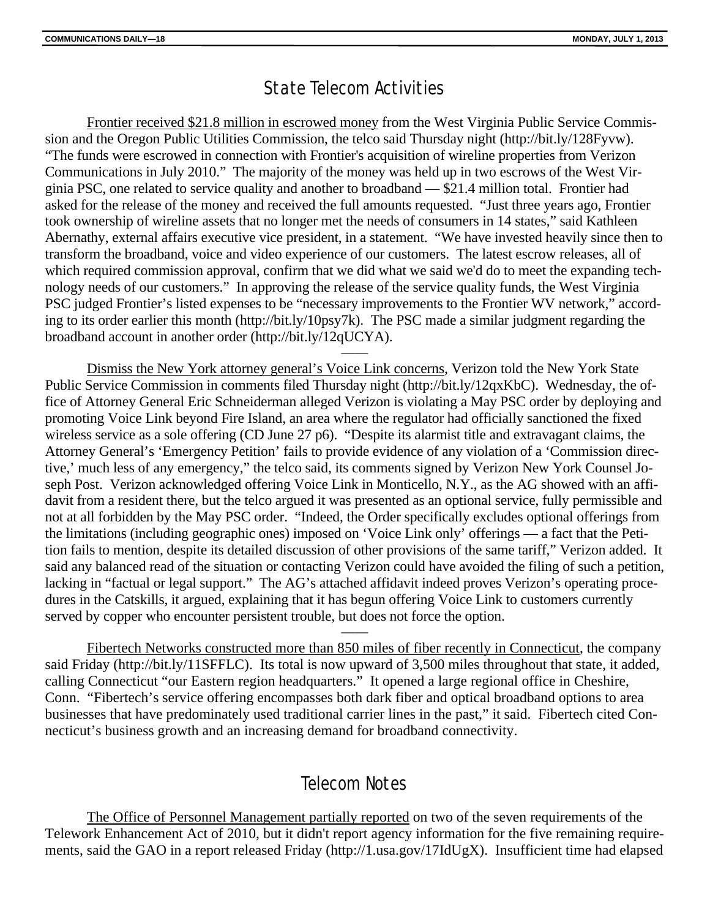## State Telecom Activities

Frontier received \$21.8 million in escrowed money from the West Virginia Public Service Commission and the Oregon Public Utilities Commission, the telco said Thursday night (http://bit.ly/128Fyvw). "The funds were escrowed in connection with Frontier's acquisition of wireline properties from Verizon Communications in July 2010." The majority of the money was held up in two escrows of the West Virginia PSC, one related to service quality and another to broadband — \$21.4 million total. Frontier had asked for the release of the money and received the full amounts requested. "Just three years ago, Frontier took ownership of wireline assets that no longer met the needs of consumers in 14 states," said Kathleen Abernathy, external affairs executive vice president, in a statement. "We have invested heavily since then to transform the broadband, voice and video experience of our customers. The latest escrow releases, all of which required commission approval, confirm that we did what we said we'd do to meet the expanding technology needs of our customers." In approving the release of the service quality funds, the West Virginia PSC judged Frontier's listed expenses to be "necessary improvements to the Frontier WV network," according to its order earlier this month (http://bit.ly/10psy7k). The PSC made a similar judgment regarding the broadband account in another order (http://bit.ly/12qUCYA).

——

Dismiss the New York attorney general's Voice Link concerns, Verizon told the New York State Public Service Commission in comments filed Thursday night (http://bit.ly/12qxKbC). Wednesday, the office of Attorney General Eric Schneiderman alleged Verizon is violating a May PSC order by deploying and promoting Voice Link beyond Fire Island, an area where the regulator had officially sanctioned the fixed wireless service as a sole offering (CD June 27 p6). "Despite its alarmist title and extravagant claims, the Attorney General's 'Emergency Petition' fails to provide evidence of any violation of a 'Commission directive,' much less of any emergency," the telco said, its comments signed by Verizon New York Counsel Joseph Post. Verizon acknowledged offering Voice Link in Monticello, N.Y., as the AG showed with an affidavit from a resident there, but the telco argued it was presented as an optional service, fully permissible and not at all forbidden by the May PSC order. "Indeed, the Order specifically excludes optional offerings from the limitations (including geographic ones) imposed on 'Voice Link only' offerings — a fact that the Petition fails to mention, despite its detailed discussion of other provisions of the same tariff," Verizon added. It said any balanced read of the situation or contacting Verizon could have avoided the filing of such a petition, lacking in "factual or legal support." The AG's attached affidavit indeed proves Verizon's operating procedures in the Catskills, it argued, explaining that it has begun offering Voice Link to customers currently served by copper who encounter persistent trouble, but does not force the option.

Fibertech Networks constructed more than 850 miles of fiber recently in Connecticut, the company said Friday (http://bit.ly/11SFFLC). Its total is now upward of 3,500 miles throughout that state, it added, calling Connecticut "our Eastern region headquarters." It opened a large regional office in Cheshire, Conn. "Fibertech's service offering encompasses both dark fiber and optical broadband options to area businesses that have predominately used traditional carrier lines in the past," it said. Fibertech cited Connecticut's business growth and an increasing demand for broadband connectivity.

——

## Telecom Notes

The Office of Personnel Management partially reported on two of the seven requirements of the Telework Enhancement Act of 2010, but it didn't report agency information for the five remaining requirements, said the GAO in a report released Friday (http://1.usa.gov/17IdUgX). Insufficient time had elapsed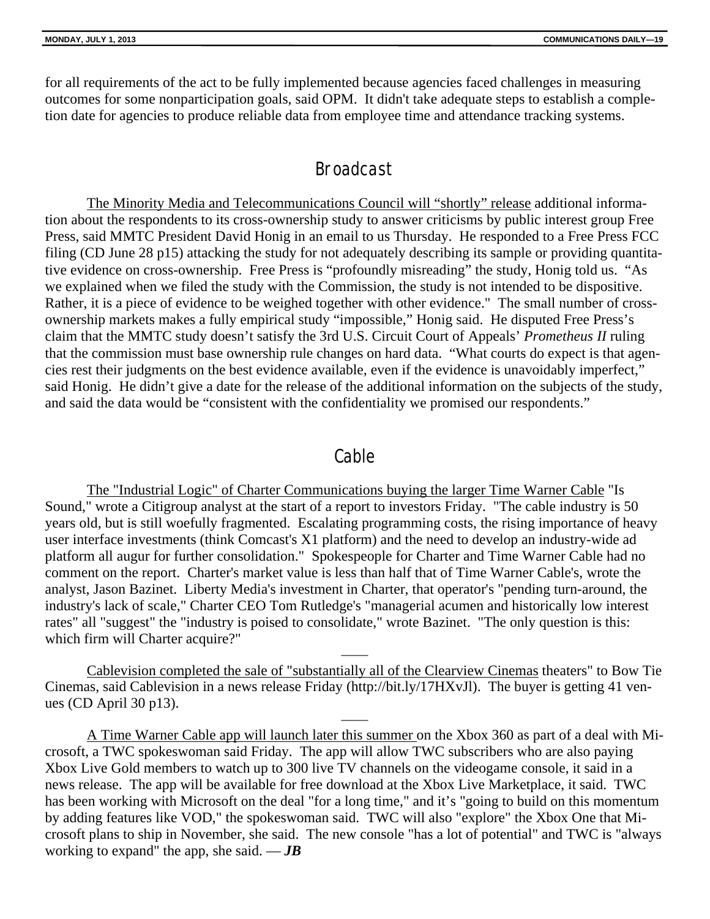for all requirements of the act to be fully implemented because agencies faced challenges in measuring outcomes for some nonparticipation goals, said OPM. It didn't take adequate steps to establish a completion date for agencies to produce reliable data from employee time and attendance tracking systems.

## Broadcast

The Minority Media and Telecommunications Council will "shortly" release additional information about the respondents to its cross-ownership study to answer criticisms by public interest group Free Press, said MMTC President David Honig in an email to us Thursday. He responded to a Free Press FCC filing (CD June 28 p15) attacking the study for not adequately describing its sample or providing quantitative evidence on cross-ownership. Free Press is "profoundly misreading" the study, Honig told us. "As we explained when we filed the study with the Commission, the study is not intended to be dispositive. Rather, it is a piece of evidence to be weighed together with other evidence." The small number of crossownership markets makes a fully empirical study "impossible," Honig said. He disputed Free Press's claim that the MMTC study doesn't satisfy the 3rd U.S. Circuit Court of Appeals' *Prometheus II* ruling that the commission must base ownership rule changes on hard data. "What courts do expect is that agencies rest their judgments on the best evidence available, even if the evidence is unavoidably imperfect," said Honig. He didn't give a date for the release of the additional information on the subjects of the study, and said the data would be "consistent with the confidentiality we promised our respondents."

### Cable

The "Industrial Logic" of Charter Communications buying the larger Time Warner Cable "Is Sound," wrote a Citigroup analyst at the start of a report to investors Friday. "The cable industry is 50 years old, but is still woefully fragmented. Escalating programming costs, the rising importance of heavy user interface investments (think Comcast's X1 platform) and the need to develop an industry-wide ad platform all augur for further consolidation." Spokespeople for Charter and Time Warner Cable had no comment on the report. Charter's market value is less than half that of Time Warner Cable's, wrote the analyst, Jason Bazinet. Liberty Media's investment in Charter, that operator's "pending turn-around, the industry's lack of scale," Charter CEO Tom Rutledge's "managerial acumen and historically low interest rates" all "suggest" the "industry is poised to consolidate," wrote Bazinet. "The only question is this: which firm will Charter acquire?"

Cablevision completed the sale of "substantially all of the Clearview Cinemas theaters" to Bow Tie Cinemas, said Cablevision in a news release Friday (http://bit.ly/17HXvJl). The buyer is getting 41 venues (CD April 30 p13).

——

——

A Time Warner Cable app will launch later this summer on the Xbox 360 as part of a deal with Microsoft, a TWC spokeswoman said Friday. The app will allow TWC subscribers who are also paying Xbox Live Gold members to watch up to 300 live TV channels on the videogame console, it said in a news release. The app will be available for free download at the Xbox Live Marketplace, it said. TWC has been working with Microsoft on the deal "for a long time," and it's "going to build on this momentum by adding features like VOD," the spokeswoman said. TWC will also "explore" the Xbox One that Microsoft plans to ship in November, she said. The new console "has a lot of potential" and TWC is "always working to expand" the app, she said.  $-JB$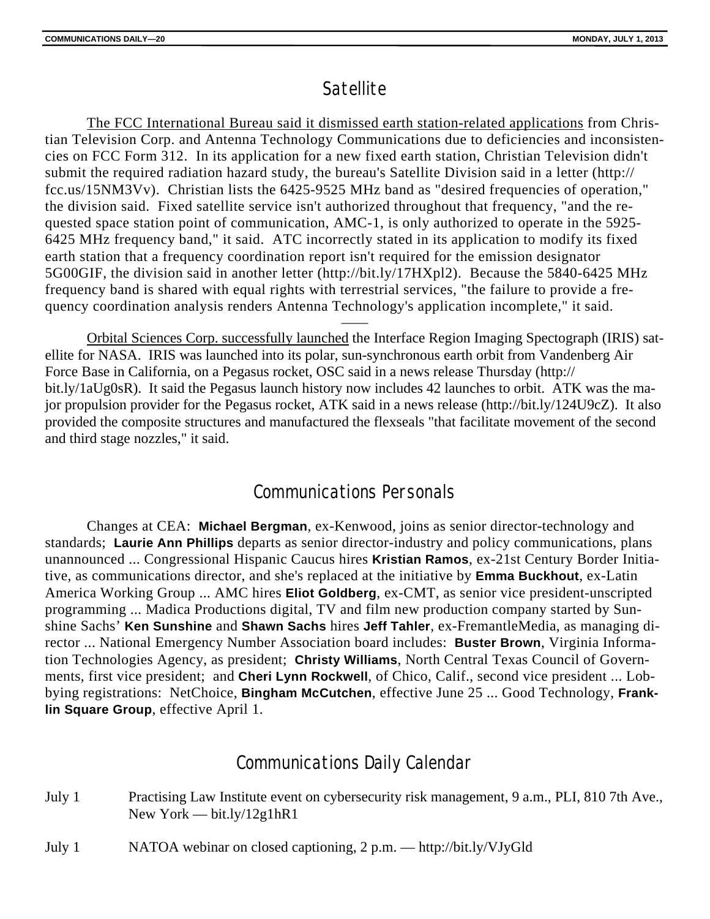## **Satellite**

The FCC International Bureau said it dismissed earth station-related applications from Christian Television Corp. and Antenna Technology Communications due to deficiencies and inconsistencies on FCC Form 312. In its application for a new fixed earth station, Christian Television didn't submit the required radiation hazard study, the bureau's Satellite Division said in a letter (http:// fcc.us/15NM3Vv). Christian lists the 6425-9525 MHz band as "desired frequencies of operation," the division said. Fixed satellite service isn't authorized throughout that frequency, "and the requested space station point of communication, AMC-1, is only authorized to operate in the 5925- 6425 MHz frequency band," it said. ATC incorrectly stated in its application to modify its fixed earth station that a frequency coordination report isn't required for the emission designator 5G00GIF, the division said in another letter (http://bit.ly/17HXpl2). Because the 5840-6425 MHz frequency band is shared with equal rights with terrestrial services, "the failure to provide a frequency coordination analysis renders Antenna Technology's application incomplete," it said.

Orbital Sciences Corp. successfully launched the Interface Region Imaging Spectograph (IRIS) satellite for NASA. IRIS was launched into its polar, sun-synchronous earth orbit from Vandenberg Air Force Base in California, on a Pegasus rocket, OSC said in a news release Thursday (http:// bit.ly/1aUg0sR). It said the Pegasus launch history now includes 42 launches to orbit. ATK was the major propulsion provider for the Pegasus rocket, ATK said in a news release (http://bit.ly/124U9cZ). It also provided the composite structures and manufactured the flexseals "that facilitate movement of the second and third stage nozzles," it said.

——

## Communications Personals

Changes at CEA: **Michael Bergman**, ex-Kenwood, joins as senior director-technology and standards; **Laurie Ann Phillips** departs as senior director-industry and policy communications, plans unannounced ... Congressional Hispanic Caucus hires **Kristian Ramos**, ex-21st Century Border Initiative, as communications director, and she's replaced at the initiative by **Emma Buckhout**, ex-Latin America Working Group ... AMC hires **Eliot Goldberg**, ex-CMT, as senior vice president-unscripted programming ... Madica Productions digital, TV and film new production company started by Sunshine Sachs' **Ken Sunshine** and **Shawn Sachs** hires **Jeff Tahler**, ex-FremantleMedia, as managing director ... National Emergency Number Association board includes: **Buster Brown**, Virginia Information Technologies Agency, as president; **Christy Williams**, North Central Texas Council of Governments, first vice president; and **Cheri Lynn Rockwell**, of Chico, Calif., second vice president ... Lobbying registrations: NetChoice, **Bingham McCutchen**, effective June 25 ... Good Technology, **Franklin Square Group**, effective April 1.

## Communications Daily Calendar

- July 1 Practising Law Institute event on cybersecurity risk management, 9 a.m., PLI, 810 7th Ave., New York — bit.ly/12g1hR1
- July 1 NATOA webinar on closed captioning, 2 p.m. http://bit.ly/VJyGld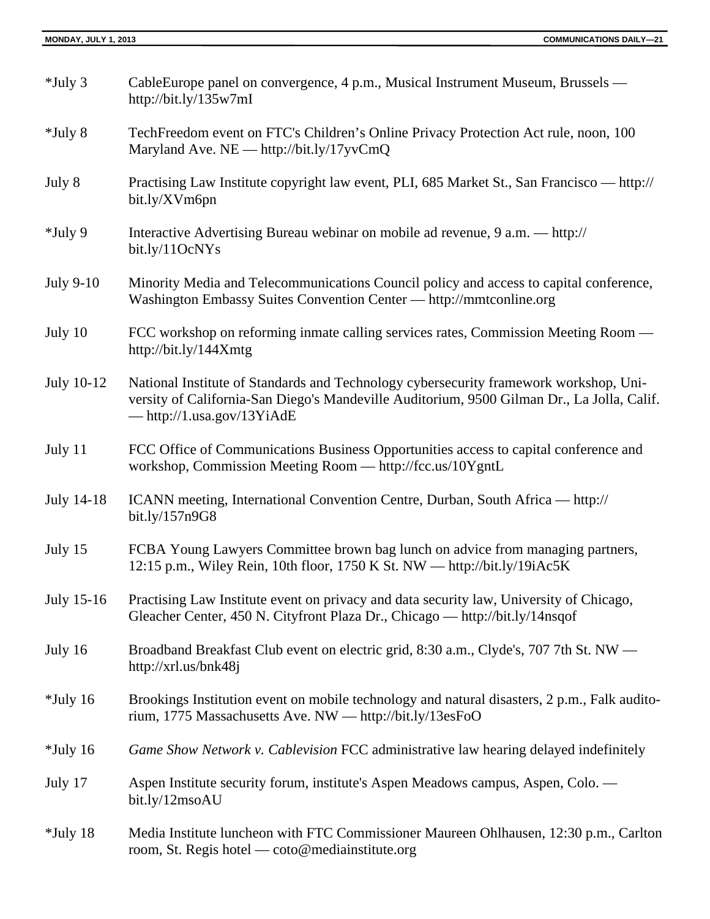| $*$ July 3  | CableEurope panel on convergence, 4 p.m., Musical Instrument Museum, Brussels —<br>http://bit.ly/135 $w7mI$                                                                                                                |
|-------------|----------------------------------------------------------------------------------------------------------------------------------------------------------------------------------------------------------------------------|
| $*$ July 8  | TechFreedom event on FTC's Children's Online Privacy Protection Act rule, noon, 100<br>Maryland Ave. NE — http://bit.ly/17yvCmQ                                                                                            |
| July 8      | Practising Law Institute copyright law event, PLI, 685 Market St., San Francisco — http://<br>bit.ly/XVm6pn                                                                                                                |
| *July 9     | Interactive Advertising Bureau webinar on mobile ad revenue, 9 a.m. — http://<br>bit.ly/11OcNYs                                                                                                                            |
| July 9-10   | Minority Media and Telecommunications Council policy and access to capital conference,<br>Washington Embassy Suites Convention Center - http://mmtconline.org                                                              |
| July 10     | FCC workshop on reforming inmate calling services rates, Commission Meeting Room —<br>http://bit.ly/144Xmtg                                                                                                                |
| July 10-12  | National Institute of Standards and Technology cybersecurity framework workshop, Uni-<br>versity of California-San Diego's Mandeville Auditorium, 9500 Gilman Dr., La Jolla, Calif.<br>$-\frac{http://1.usa.gov/13YiAdE}{$ |
| July 11     | FCC Office of Communications Business Opportunities access to capital conference and<br>workshop, Commission Meeting Room - http://fcc.us/10YgntL                                                                          |
| July 14-18  | ICANN meeting, International Convention Centre, Durban, South Africa — http://<br>bit.ly/157n9G8                                                                                                                           |
| July 15     | FCBA Young Lawyers Committee brown bag lunch on advice from managing partners,<br>12:15 p.m., Wiley Rein, 10th floor, 1750 K St. NW — http://bit.ly/19iAc5K                                                                |
| July 15-16  | Practising Law Institute event on privacy and data security law, University of Chicago,<br>Gleacher Center, 450 N. Cityfront Plaza Dr., Chicago — http://bit.ly/14nsqof                                                    |
| July 16     | Broadband Breakfast Club event on electric grid, 8:30 a.m., Clyde's, 707 7th St. NW —<br>http://xrl.us/bnk48j                                                                                                              |
| $*$ July 16 | Brookings Institution event on mobile technology and natural disasters, 2 p.m., Falk audito-<br>rium, 1775 Massachusetts Ave. NW - http://bit.ly/13esFoO                                                                   |
| $*$ July 16 | Game Show Network v. Cablevision FCC administrative law hearing delayed indefinitely                                                                                                                                       |
| July 17     | Aspen Institute security forum, institute's Aspen Meadows campus, Aspen, Colo. —<br>bit.ly/12msoAU                                                                                                                         |
| $*$ July 18 | Media Institute luncheon with FTC Commissioner Maureen Ohlhausen, 12:30 p.m., Carlton<br>room, St. Regis hotel — coto@mediainstitute.org                                                                                   |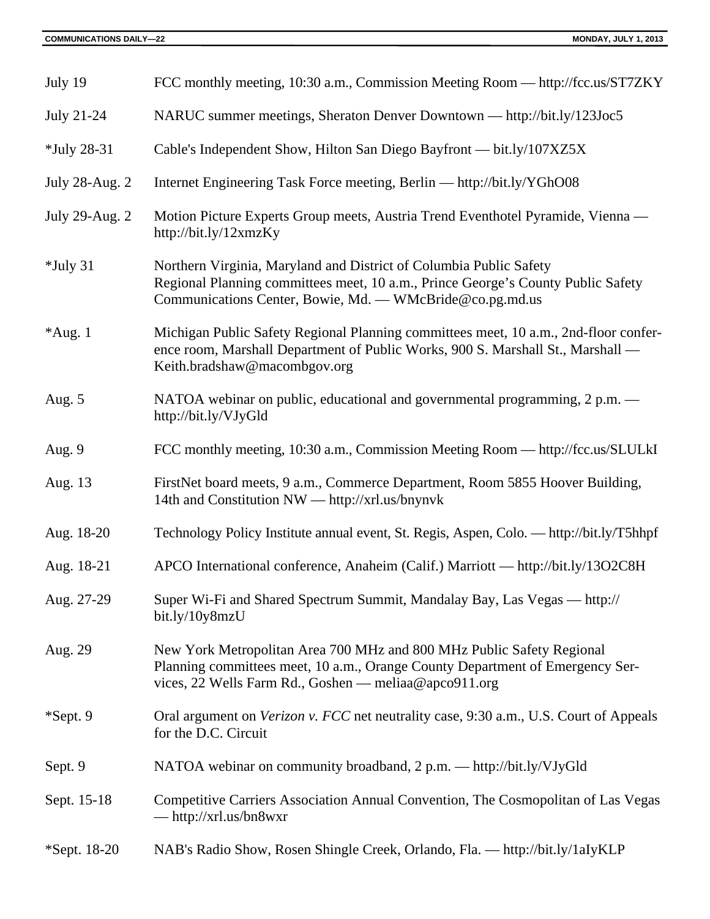| July 19        | FCC monthly meeting, 10:30 a.m., Commission Meeting Room — http://fcc.us/ST7ZKY                                                                                                                                    |
|----------------|--------------------------------------------------------------------------------------------------------------------------------------------------------------------------------------------------------------------|
| July 21-24     | NARUC summer meetings, Sheraton Denver Downtown — http://bit.ly/123Joc5                                                                                                                                            |
| *July 28-31    | Cable's Independent Show, Hilton San Diego Bayfront — bit.ly/107XZ5X                                                                                                                                               |
| July 28-Aug. 2 | Internet Engineering Task Force meeting, Berlin — http://bit.ly/YGhO08                                                                                                                                             |
| July 29-Aug. 2 | Motion Picture Experts Group meets, Austria Trend Eventhotel Pyramide, Vienna —<br>http://bit.ly/12xmzKy                                                                                                           |
| $*$ July 31    | Northern Virginia, Maryland and District of Columbia Public Safety<br>Regional Planning committees meet, 10 a.m., Prince George's County Public Safety<br>Communications Center, Bowie, Md. - WMcBride@co.pg.md.us |
| $*Aug. 1$      | Michigan Public Safety Regional Planning committees meet, 10 a.m., 2nd-floor confer-<br>ence room, Marshall Department of Public Works, 900 S. Marshall St., Marshall -<br>Keith.bradshaw@macombgov.org            |
| Aug. $5$       | NATOA webinar on public, educational and governmental programming, 2 p.m. —<br>http://bit.ly/VJyGld                                                                                                                |
| Aug. 9         | FCC monthly meeting, 10:30 a.m., Commission Meeting Room — http://fcc.us/SLULkI                                                                                                                                    |
| Aug. 13        | FirstNet board meets, 9 a.m., Commerce Department, Room 5855 Hoover Building,<br>14th and Constitution NW — http://xrl.us/bnynvk                                                                                   |
| Aug. 18-20     | Technology Policy Institute annual event, St. Regis, Aspen, Colo. — http://bit.ly/T5hhpf                                                                                                                           |
| Aug. 18-21     | APCO International conference, Anaheim (Calif.) Marriott — http://bit.ly/13O2C8H                                                                                                                                   |
| Aug. 27-29     | Super Wi-Fi and Shared Spectrum Summit, Mandalay Bay, Las Vegas — http://<br>bit.ly/10y8mzU                                                                                                                        |
| Aug. 29        | New York Metropolitan Area 700 MHz and 800 MHz Public Safety Regional<br>Planning committees meet, 10 a.m., Orange County Department of Emergency Ser-<br>vices, 22 Wells Farm Rd., Goshen — meliaa@apco911.org    |
| *Sept. 9       | Oral argument on <i>Verizon v. FCC</i> net neutrality case, 9:30 a.m., U.S. Court of Appeals<br>for the D.C. Circuit                                                                                               |
| Sept. 9        | NATOA webinar on community broadband, 2 p.m. — http://bit.ly/VJyGld                                                                                                                                                |
| Sept. 15-18    | Competitive Carriers Association Annual Convention, The Cosmopolitan of Las Vegas<br>$-\frac{http://xrl.us/bn8wxr}{}$                                                                                              |
| *Sept. 18-20   | NAB's Radio Show, Rosen Shingle Creek, Orlando, Fla. — http://bit.ly/1aIyKLP                                                                                                                                       |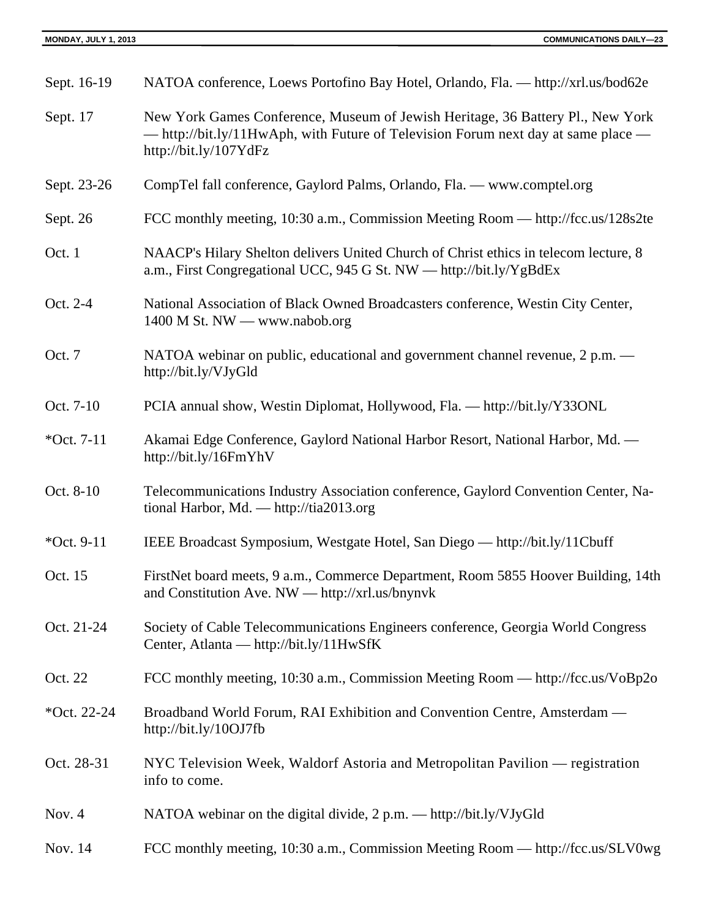| Sept. 16-19  | NATOA conference, Loews Portofino Bay Hotel, Orlando, Fla. — http://xrl.us/bod62e                                                                                                            |
|--------------|----------------------------------------------------------------------------------------------------------------------------------------------------------------------------------------------|
| Sept. 17     | New York Games Conference, Museum of Jewish Heritage, 36 Battery Pl., New York<br>— http://bit.ly/11HwAph, with Future of Television Forum next day at same place —<br>http://bit.ly/107YdFz |
| Sept. 23-26  | CompTel fall conference, Gaylord Palms, Orlando, Fla. - www.comptel.org                                                                                                                      |
| Sept. 26     | FCC monthly meeting, 10:30 a.m., Commission Meeting Room — http://fcc.us/128s2te                                                                                                             |
| Oct. 1       | NAACP's Hilary Shelton delivers United Church of Christ ethics in telecom lecture, 8<br>a.m., First Congregational UCC, 945 G St. NW - http://bit.ly/YgBdEx                                  |
| Oct. 2-4     | National Association of Black Owned Broadcasters conference, Westin City Center,<br>$1400$ M St. NW — www.nabob.org                                                                          |
| Oct. 7       | NATOA webinar on public, educational and government channel revenue, 2 p.m. —<br>http://bit.ly/VJyGld                                                                                        |
| Oct. 7-10    | PCIA annual show, Westin Diplomat, Hollywood, Fla. — http://bit.ly/Y33ONL                                                                                                                    |
| *Oct. $7-11$ | Akamai Edge Conference, Gaylord National Harbor Resort, National Harbor, Md. —<br>http://bit.ly/16FmYhV                                                                                      |
| Oct. 8-10    | Telecommunications Industry Association conference, Gaylord Convention Center, Na-<br>tional Harbor, Md. - http://tia2013.org                                                                |
| *Oct. 9-11   | IEEE Broadcast Symposium, Westgate Hotel, San Diego — http://bit.ly/11Cbuff                                                                                                                  |
| Oct. 15      | FirstNet board meets, 9 a.m., Commerce Department, Room 5855 Hoover Building, 14th<br>and Constitution Ave. NW — http://xrl.us/bnynvk                                                        |
| Oct. 21-24   | Society of Cable Telecommunications Engineers conference, Georgia World Congress<br>Center, Atlanta — http://bit.ly/11HwSfK                                                                  |
| Oct. 22      | FCC monthly meeting, 10:30 a.m., Commission Meeting Room — http://fcc.us/VoBp2o                                                                                                              |
| *Oct. 22-24  | Broadband World Forum, RAI Exhibition and Convention Centre, Amsterdam —<br>http://bit.ly/10OJ7fb                                                                                            |
| Oct. 28-31   | NYC Television Week, Waldorf Astoria and Metropolitan Pavilion — registration<br>info to come.                                                                                               |
| Nov. 4       | NATOA webinar on the digital divide, 2 p.m. — http://bit.ly/VJyGld                                                                                                                           |
| Nov. 14      | FCC monthly meeting, 10:30 a.m., Commission Meeting Room — http://fcc.us/SLV0wg                                                                                                              |